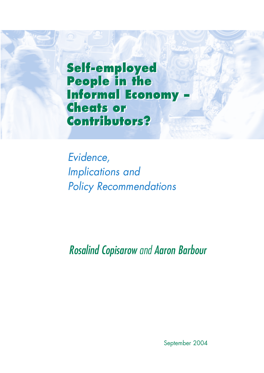**Self-employed Self-employed People in the People in the Informal Economy – Informal Economy – Cheats or Cheats or Contributors? Contributors?**

*Evidence, Implications and Policy Recommendations*

*Rosalind Copisarow and Aaron Barbour*

September 2004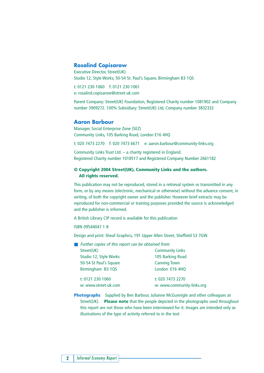#### **Rosalind Copisarow**

Executive Director, Street(UK) Studio 12, Style Works, 50-54 St. Paul's Square, Birmingham B3 1QS

t: 0121 230 1060 f: 0121 230 1061 e: rosalind.copisarow@street-uk.com

Parent Company: Street(UK) Foundation, Registered Charity number 1081902 and Company number 3909272. 100% Subsidiary: Street(UK) Ltd, Company number 3832332

#### **Aaron Barbour**

Manager, Social Enterprise Zone (SEZ) Community Links, 105 Barking Road, London E16 4HQ

t: 020 7473 2270 f: 020 7473 6671 e: aaron.barbour@community-links.org

Community Links Trust Ltd. – a charity registered in England. Registered Charity number 1018517 and Registered Company Number 2661182

#### **© Copyright 2004 Street(UK), Community Links and the authors. All rights reserved.**

This publication may not be reproduced, stored in a retrieval system or transmitted in any form, or by any means (electronic, mechanical or otherwise) without the advance consent, in writing, of both the copyright owner and the publisher. However brief extracts may be reproduced for non-commercial or training purposes provided the source is acknowledged and the publisher is informed.

A British Library CIP record is available for this publication

ISBN 09544047 1 8

Design and print: Sheaf Graphics, 191 Upper Allen Street, Sheffield S3 7GW.

| Further copies of this report can be obtained from: |                            |  |  |  |  |  |  |  |
|-----------------------------------------------------|----------------------------|--|--|--|--|--|--|--|
| Street(UK)                                          | <b>Community Links</b>     |  |  |  |  |  |  |  |
| Studio 12, Style Works                              | 105 Barking Road           |  |  |  |  |  |  |  |
| 50-54 St Paul's Square                              | <b>Canning Town</b>        |  |  |  |  |  |  |  |
| Birmingham B3 1QS                                   | London E16 4HQ             |  |  |  |  |  |  |  |
| t: 0121 230 1060                                    | t: 020 7473 2270           |  |  |  |  |  |  |  |
| w: www.street-uk.com                                | w: www.community-links.org |  |  |  |  |  |  |  |
|                                                     |                            |  |  |  |  |  |  |  |

**Photographs** Supplied by Ben Barbour, Julianne McGunnigle and other colleagues at Street(UK). **Please note** that the people depicted in the photographs used throughout this report are not those who have been interviewed for it. Images are intended only as illustrations of the type of activity referred to in the text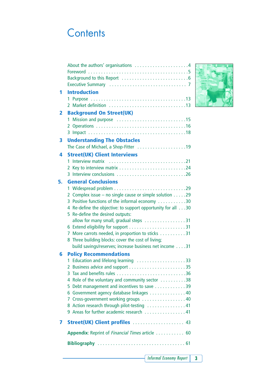## **Contents**

|    | About the authors' organisations 4                                                   |
|----|--------------------------------------------------------------------------------------|
|    |                                                                                      |
|    |                                                                                      |
|    |                                                                                      |
| 1  | <b>Introduction</b>                                                                  |
|    |                                                                                      |
|    |                                                                                      |
| 2  | <b>Background On Street(UK)</b>                                                      |
|    | 1.                                                                                   |
|    |                                                                                      |
|    |                                                                                      |
| 3  | <b>Understanding The Obstacles</b>                                                   |
|    | The Case of Michael, a Shop-Fitter 19                                                |
| 4  | <b>Street(UK) Client Interviews</b>                                                  |
|    | 1                                                                                    |
|    | 3 Interview conclusions 26                                                           |
|    |                                                                                      |
| 5. | <b>General Conclusions</b>                                                           |
|    | 2 Complex issue – no single cause or simple solution 29                              |
|    | 3 Positive functions of the informal economy 30                                      |
|    | 4 Re-define the objective: to support opportunity for all 30                         |
|    | Re-define the desired outputs:<br>5                                                  |
|    | allow for many small, gradual steps 31                                               |
|    |                                                                                      |
|    | More carrots needed, in proportion to sticks 31<br>7                                 |
|    | Three building blocks: cover the cost of living;<br>8                                |
|    | build savings/reserves; increase business net income 31                              |
| 6  | <b>Policy Recommendations</b>                                                        |
|    | 1 Education and lifelong learning 33                                                 |
|    |                                                                                      |
|    |                                                                                      |
|    | 4 Role of the voluntary and community sector 38                                      |
|    | Debt management and incentives to save 39<br>5.                                      |
|    | 6 Government agency database linkages 40<br>Cross-government working groups  40<br>7 |
|    | 8 Action research through pilot-testing  41                                          |
|    | 9 Areas for further academic research 41                                             |
|    |                                                                                      |
| 7  | Street(UK) Client profiles  43                                                       |
|    | Appendix: Reprint of Financial Times article 60                                      |
|    |                                                                                      |
|    |                                                                                      |

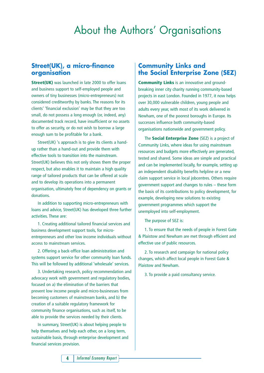## About the Authors' Organisations

### **Street(UK), a micro-finance organisation**

**Street(UK)** was launched in late 2000 to offer loans and business support to self-employed people and owners of tiny businesses (micro-entrepreneurs) not considered creditworthy by banks. The reasons for its clients' 'financial exclusion' may be that they are too small, do not possess a long enough (or, indeed, any) documented track record, have insufficient or no assets to offer as security, or do not wish to borrow a large enough sum to be profitable for a bank.

Street(UK) 's approach is to give its clients a handup rather than a hand-out and provide them with effective tools to transition into the mainstream. Street(UK) believes this not only shows them the proper respect, but also enables it to maintain a high quality range of tailored products that can be offered at scale and to develop its operations into a permanent organisation, ultimately free of dependency on grants or donations.

In addition to supporting micro-entrepreneurs with loans and advice, Street(UK) has developed three further activities. These are:

1. Creating additional tailored financial services and business development support tools, for microentrepreneurs and other low income individuals without access to mainstream services.

2. Offering a back-office loan administration and systems support service for other community loan funds. This will be followed by additional 'wholesale' services.

3. Undertaking research, policy recommendation and advocacy work with government and regulatory bodies, focused on a) the elimination of the barriers that prevent low income people and micro-businesses from becoming customers of mainstream banks, and b) the creation of a suitable regulatory framework for community finance organisations, such as itself, to be able to provide the services needed by their clients.

In summary, Street(UK) is about helping people to help themselves and help each other, on a long term, sustainable basis, through enterprise development and financial services provision.

### **Community Links and the Social Enterprise Zone (SEZ)**

**Community Links** is an innovative and groundbreaking inner city charity running community-based projects in east London. Founded in 1977, it now helps over 30,000 vulnerable children, young people and adults every year, with most of its work delivered in Newham, one of the poorest boroughs in Europe. Its successes influence both community-based organisations nationwide and government policy.

The **Social Enterprise Zone** (SEZ) is a project of Community Links, where ideas for using mainstream resources and budgets more effectively are generated, tested and shared. Some ideas are simple and practical and can be implemented locally, for example, setting up an independent disability benefits helpline or a new claim support service in local jobcentres. Others require government support and changes to rules – these form the basis of its contributions to policy development, for example, developing new solutions to existing government programmes which support the unemployed into self-employment.

The purpose of SEZ is:

1. To ensure that the needs of people in Forest Gate & Plaistow and Newham are met through efficient and effective use of public resources.

2. To research and campaign for national policy changes, which affect local people in Forest Gate & Plaistow and Newham.

3. To provide a paid consultancy service.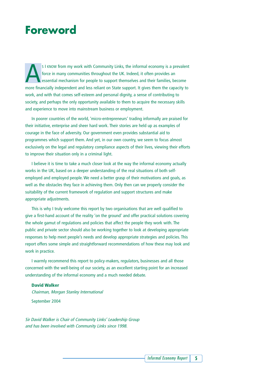### **Foreword**

S I KNOW from my work with Community Links, the informal economy is a prevalent<br>force in many communities throughout the UK. Indeed, it often provides an<br>essential mechanism for people to support themselves and their famil force in many communities throughout the UK. Indeed, it often provides an essential mechanism for people to support themselves and their families, become more financially independent and less reliant on State support. It gives them the capacity to work, and with that comes self-esteem and personal dignity, a sense of contributing to society, and perhaps the only opportunity available to them to acquire the necessary skills and experience to move into mainstream business or employment.

In poorer countries of the world, 'micro-entrepreneurs' trading informally are praised for their initiative, enterprise and sheer hard work. Their stories are held up as examples of courage in the face of adversity. Our government even provides substantial aid to programmes which support them. And yet, in our own country, we seem to focus almost exclusively on the legal and regulatory compliance aspects of their lives, viewing their efforts to improve their situation only in a criminal light.

I believe it is time to take a much closer look at the way the informal economy actually works in the UK, based on a deeper understanding of the real situations of both selfemployed and employed people. We need a better grasp of their motivations and goals, as well as the obstacles they face in achieving them. Only then can we properly consider the suitability of the current framework of regulation and support structures and make appropriate adjustments.

This is why I truly welcome this report by two organisations that are well qualified to give a first-hand account of the reality 'on the ground' and offer practical solutions covering the whole gamut of regulations and policies that affect the people they work with. The public and private sector should also be working together to look at developing appropriate responses to help meet people's needs and develop appropriate strategies and policies. This report offers some simple and straightforward recommendations of how these may look and work in practice.

I warmly recommend this report to policy-makers, regulators, businesses and all those concerned with the well-being of our society, as an excellent starting point for an increased understanding of the informal economy and a much needed debate.

#### **David Walker**

Chairman, Morgan Stanley International September 2004

Sir David Walker is Chair of Community Links' Leadership Group and has been involved with Community Links since 1998.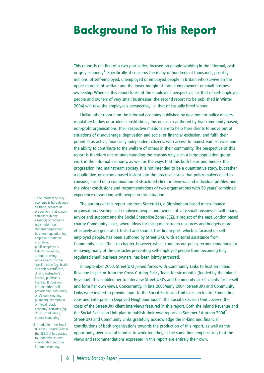# **Background To This Report**

This report is the first of a two-part series, focused on people working in the informal, cash or grey economy<sup>1</sup>. Specifically, it concerns the many of hundreds of thousands, possibly millions, of self-employed, unemployed or employed people in Britain who survive on the upper margins of welfare and the lower margin of formal employment or small business ownership. Whereas this report looks at the employer's perspective, i.e. that of self-employed people and owners of very small businesses, the second report (to be published in Winter 2004) will take the employee's perspective, i.e. that of casually hired labour.

Unlike other reports on the informal economy published by government policy-makers, regulatory bodies or academic institutions, this one is co-authored by two community-based, non-profit organisations. Their respective missions are to help their clients to move out of situations of disadvantage, deprivation and social or financial exclusion, and fulfil their potential as active, financially independent citizens, with access to mainstream services and the ability to contribute to the welfare of others in their community. The perspective of this report is therefore one of understanding the reasons why such a large population group work in the informal economy, as well as the ways that this both helps and hinders their progression into mainstream society. It is not intended to be a quantitative study, but rather a qualitative, grassroots-based insight into the practical issues that policy-makers need to consider, based on a combination of structured client interviews and individual profiles, and the wider conclusions and recommendations of two organisations with 30 years' combined experience of working with people in this situation.

The authors of this report are from Street(UK), a Birmingham-based micro-finance organisation assisting self-employed people and owners of very small businesses with loans, advice and support; and the Social Enterprise Zone (SEZ), a project of the east London based charity Community Links, where ideas for using mainstream resources and budgets more effectively are generated, tested and shared. This first report, which is focused on selfemployed people, has been authored by Street(UK), with editorial assistance from Community Links. The last chapter, however, which contains our policy recommendations for removing many of the obstacles preventing self-employed people from becoming fully regulated small business owners, has been jointly authored.

In September 2003, Street(UK) joined forces with Community Links to host an Inland Revenue Inspector from the Cross-Cutting Policy Team for six months (funded by the Inland Revenue). This enabled her to interview Street(UK)'s and Community Links' clients for herself and form her own views. Concurrently, in late 2003/early 2004, Street(UK) and Community Links were invited to provide input to the Social Exclusion Unit's research into 'Stimulating Jobs and Enterprise in Deprived Neighbourhoods'. The Social Exclusion Unit covered the costs of the Street(UK) client interviews featured in this report. Both the Inland Revenue and the Social Exclusion Unit plan to publish their own reports in Summer / Autumn 2004<sup>2</sup>. Street(UK) and Community Links gratefully acknowledge the in-kind and financial contributions of both organisations towards the production of this report, as well as the opportunity over several months to work together, at the same time emphasising that the views and recommendations expressed in this report are entirely their own.

1 The informal or grey economy is here defined as trade, services or production, that is noncompliant in any aspect(s) of company registration, tax declaration/payment, business regulation (eg. employer's national insurance, public/employer's liability insurance), and/or licensing requirements for the specific trade (eg. health and safety certificate, driving instructor's licence, publican's licence). It does not include either 'selfprovisioning' (eg. doing one's own cleaning, plumbing, car repairs), or illegal 'black economy' activities (eg. drugs, child labour, money laundering).

2 In addition, the Small Business Council (within the SBS/Dti) has started to undertake its own investigation into the informal economy.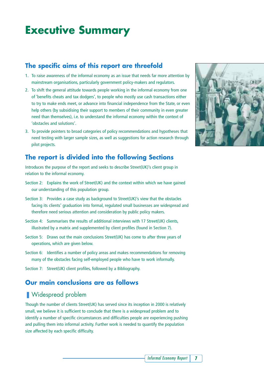# **Executive Summary**

### **The specific aims of this report are threefold**

- 1. To raise awareness of the informal economy as an issue that needs far more attention by mainstream organisations, particularly government policy-makers and regulators.
- 2. To shift the general attitude towards people working in the informal economy from one of 'benefits cheats and tax dodgers', to people who mostly use cash transactions either to try to make ends meet, or advance into financial independence from the State, or even help others (by subsidising their support to members of their community in even greater need than themselves), i.e. to understand the informal economy within the context of 'obstacles and solutions'.
- 3. To provide pointers to broad categories of policy recommendations and hypotheses that need testing with larger sample sizes, as well as suggestions for action research through pilot projects.

### **The report is divided into the following Sections**

Introduces the purpose of the report and seeks to describe Street(UK)'s client group in relation to the informal economy.

- Section 2: Explains the work of Street(UK) and the context within which we have gained our understanding of this population group.
- Section 3: Provides a case study as background to Street(UK)'s view that the obstacles facing its clients' graduation into formal, regulated small businesses are widespread and therefore need serious attention and consideration by public policy makers.
- Section 4: Summarises the results of additional interviews with 17 Street(UK) clients, illustrated by a matrix and supplemented by client profiles (found in Section 7).
- Section 5: Draws out the main conclusions Street(UK) has come to after three years of operations, which are given below.
- Section 6: Identifies a number of policy areas and makes recommendations for removing many of the obstacles facing self-employed people who have to work informally.

Section 7: Street(UK) client profiles, followed by a Bibliography.

### **Our main conclusions are as follows**

### ■ Widespread problem

Though the number of clients Street(UK) has served since its inception in 2000 is relatively small, we believe it is sufficient to conclude that there is a widespread problem and to identify a number of specific circumstances and difficulties people are experiencing pushing and pulling them into informal activity. Further work is needed to quantify the population size affected by each specific difficulty.

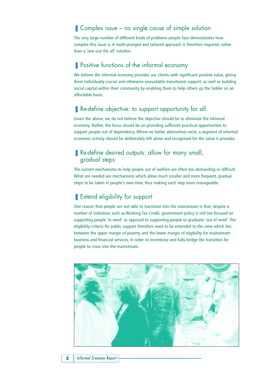### ■ Complex issue – no single cause of simple solution

The very large number of different kinds of problems people face demonstrates how complex this issue is. A multi-pronged and tailored approach is therefore required, rather than a 'one size fits all' solution.

### ■ Positive functions of the informal economy

We believe the informal economy provides our clients with significant positive value, giving them individually crucial and otherwise unavailable transitional support, as well as building social capital within their community by enabling them to help others up the ladder on an affordable basis.

### ■ Re-define objective: to support opportunity for all

Given the above, we do not believe the objective should be to eliminate the informal economy. Rather, the focus should be on providing sufficient practical opportunities to support people out of dependency. Where no better alternatives exist, a segment of informal economic activity should be deliberately left alone and recognised for the value it provides.

### ■ Re-define desired outputs: allow for many small, gradual steps

The current mechanisms to help people out of welfare are often too demanding or difficult. What are needed are mechanisms which allow much smaller and more frequent, gradual steps to be taken in people's own time, thus making each step more manageable.

### ■ Extend eligibility for support

One reason that people are not able to transition into the mainstream is that, despite a number of initiatives such as Working Tax Credit, government policy is still too focused on supporting people 'in need' as opposed to supporting people to graduate 'out of need'. The eligibility criteria for public support therefore need to be extended to the zone which lies between the upper margin of poverty and the lower margin of eligibility for mainstream business and financial services, in order to incentivise and fully bridge the transition for people to cross into the mainstream.

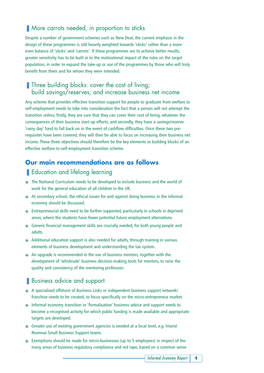### ■ More carrots needed, in proportion to sticks

Despite a number of government schemes such as New Deal, the current emphasis in the design of these programmes is still heavily weighted towards 'sticks' rather than a more even balance of 'sticks' and 'carrots'. If these programmes are to achieve better results, greater sensitivity has to be built in to the motivational impact of the rules on the target population, in order to expand the take-up or use of the programmes by those who will truly benefit from them and for whom they were intended.

### ■ Three building blocks: cover the cost of living; build savings/reserves; and increase business net income

Any scheme that provides effective transition support for people to graduate from welfare to self-employment needs to take into consideration the fact that a person will not attempt the transition unless, firstly, they are sure that they can cover their cost of living, whatever the consequences of their business start-up efforts; and secondly, they have a savings/reserve 'rainy day' fund to fall back on in the event of cashflow difficulties. Once these two prerequisites have been covered, they will then be able to focus on increasing their business net income. These three objectives should therefore be the key elements or building blocks of an effective welfare-to-self-employment transition scheme.

### **Our main recommendations are as follows**

### ■ Education and lifelong learning

- The National Curriculum needs to be developed to include business and the world of work for the general education of all children in the UK.
- At secondary school, the ethical issues for and against doing business in the informal economy should be discussed.
- Entrepreneurial skills need to be further supported, particularly in schools in deprived areas, where the students have fewer potential future employment alternatives.
- Generic financial management skills are crucially needed, for both young people and adults.
- Additional education support is also needed for adults, through training in various elements of business development and understanding the tax system.
- An upgrade is recommended in the use of business mentors, together with the development of 'wholesale' business decision-making tools for mentors, to raise the quality and consistency of the mentoring profession.

### ■ Business advice and support

- A specialised offshoot of Business Links or independent business support network/ franchise needs to be created, to focus specifically on the micro-entrepreneur market.
- Informal economy transition or 'formalisation' business advice and support needs to become a recognised activity for which public funding is made available and appropriate targets are developed.
- Greater use of existing government agencies is needed at a local level, e.g. Inland Revenue Small Business Support teams.
- Exemptions should be made for micro-businesses (up to 5 employees) in respect of the many areas of business regulatory compliance and red tape, based on a common sense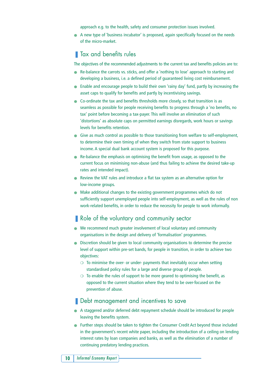approach e.g. to the health, safety and consumer protection issues involved.

● A new type of 'business incubator' is proposed, again specifically focused on the needs of the micro-market.

### **Tax and benefits rules**

The objectives of the recommended adjustments to the current tax and benefits policies are to:

- Re-balance the carrots vs. sticks, and offer a 'nothing to lose' approach to starting and developing a business, i.e. a defined period of guaranteed living cost reimbursement.
- Enable and encourage people to build their own 'rainy day' fund, partly by increasing the asset caps to qualify for benefits and partly by incentivising savings.
- Co-ordinate the tax and benefits thresholds more closely, so that transition is as seamless as possible for people receiving benefits to progress through a 'no benefits, no tax' point before becoming a tax-payer. This will involve an elimination of such 'distortions' as absolute caps on permitted earnings disregards, work hours or savings levels for benefits retention.
- Give as much control as possible to those transitioning from welfare to self-employment, to determine their own timing of when they switch from state support to business income. A special dual bank account system is proposed for this purpose.
- $\bullet$  Re-balance the emphasis on optimising the benefit from usage, as opposed to the current focus on minimising non-abuse (and thus failing to achieve the desired take-up rates and intended impact).
- Review the VAT rules and introduce a flat tax system as an alternative option for low-income groups.
- Make additional changes to the existing government programmes which do not sufficiently support unemployed people into self-employment, as well as the rules of non work-related benefits, in order to reduce the necessity for people to work informally.

### ■ Role of the voluntary and community sector

- We recommend much greater involvement of local voluntary and community organisations in the design and delivery of 'formalisation' programmes.
- Discretion should be given to local community organisations to determine the precise level of support within pre-set bands, for people in transition, in order to achieve two objectives:
	- ❍ To minimise the over- or under- payments that inevitably occur when setting standardised policy rules for a large and diverse group of people.
	- $\circ$  To enable the rules of support to be more geared to optimising the benefit, as opposed to the current situation where they tend to be over-focused on the prevention of abuse.

#### ■ Debt management and incentives to save

- A staggered and/or deferred debt repayment schedule should be introduced for people leaving the benefits system.
- Further steps should be taken to tighten the Consumer Credit Act beyond those included in the government's recent white paper, including the introduction of a ceiling on lending interest rates by loan companies and banks, as well as the elimination of a number of continuing predatory lending practices.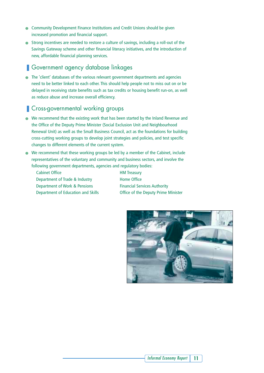- Community Development Finance Institutions and Credit Unions should be given increased promotion and financial support.
- Strong incentives are needed to restore a culture of savings, including a roll-out of the Savings Gateway scheme and other financial literacy initiatives, and the introduction of new, affordable financial planning services.

### ■ Government agency database linkages

● The 'client' databases of the various relevant government departments and agencies need to be better linked to each other. This should help people not to miss out on or be delayed in receiving state benefits such as tax credits or housing benefit run-on, as well as reduce abuse and increase overall efficiency.

### ■ Cross-governmental working groups

- We recommend that the existing work that has been started by the Inland Revenue and the Office of the Deputy Prime Minister (Social Exclusion Unit and Neighbourhood Renewal Unit) as well as the Small Business Council, act as the foundations for building cross-cutting working groups to develop joint strategies and policies, and test specific changes to different elements of the current system.
- We recommend that these working groups be led by a member of the Cabinet, include representatives of the voluntary and community and business sectors, and involve the following government departments, agencies and regulatory bodies:
	- Cabinet Office **HM** Treasury Department of Trade & Industry Home Office Department of Work & Pensions Financial Services Authority

Department of Education and Skills Office of the Deputy Prime Minister

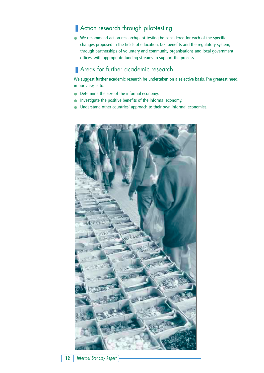### ■ Action research through pilot-testing

● We recommend action research/pilot-testing be considered for each of the specific changes proposed in the fields of education, tax, benefits and the regulatory system, through partnerships of voluntary and community organisations and local government offices, with appropriate funding streams to support the process.

### ■ Areas for further academic research

We suggest further academic research be undertaken on a selective basis. The greatest need, in our view, is to:

- Determine the size of the informal economy.
- Investigate the positive benefits of the informal economy.
- Understand other countries' approach to their own informal economies.

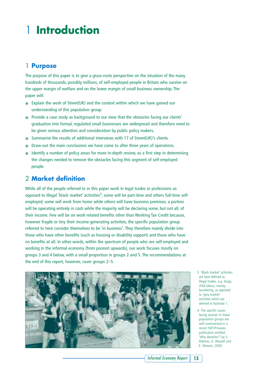# 1 **Introduction**

### 1 **Purpose**

The purpose of this paper is to give a grass-roots perspective on the situation of the many hundreds of thousands, possibly millions, of self-employed people in Britain who survive on the upper margin of welfare and on the lower margin of small business ownership. The paper will:

- Explain the work of Street(UK) and the context within which we have gained our understanding of this population group.
- Provide a case study as background to our view that the obstacles facing our clients' graduation into formal, regulated small businesses are widespread and therefore need to be given serious attention and consideration by public policy makers.
- Summarise the results of additional interviews with 17 of Street(UK)'s clients.
- Draw-out the main conclusions we have come to after three years of operations.
- Identify a number of policy areas for more in-depth review, as a first step in determining the changes needed to remove the obstacles facing this segment of self-employed people.

### 2 **Market definition**

While all of the people referred to in this paper work in legal trades or professions as opposed to illegal 'black market' activities<sup>3</sup>, some will be part-time and others full-time selfemployed; some will work from home while others will have business premises; a portion will be operating entirely in cash while the majority will be declaring some, but not all, of their income. Few will be on work-related benefits other than Working Tax Credit because, however fragile or tiny their income-generating activities, the specific population group referred to here consider themselves to be 'in business'. They therefore mainly divide into those who have other benefits (such as housing or disability support) and those who have no benefits at all. In other words, within the spectrum of people who are self-employed and working in the informal economy (from poorest upwards), our work focuses mostly on groups 3 and 4 below, with a small proportion in groups 2 and 5. The recommendations at the end of this report, however, cover groups 2–5.



3 'Black market' activities are here defined as illegal trades, e.g. drugs, child labour, moneylaundering, as opposed to 'grey market' activities which are defined in footnote 1.

4 The specific issues facing women in these population groups are well summarised in a recent NEF/Prowess publication entitled 'Who Benefits?' by S. Marlow, A. Westall and E. Watson, 2003.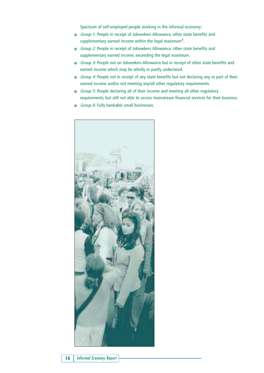Spectrum of self-employed people working in the informal economy:

- Group 1: People in receipt of Jobseekers Allowance, other state benefits and supplementary earned income within the legal maximum<sup>4</sup>.
- Group 2: People in receipt of Jobseekers Allowance, other state benefits and supplementary earned income, exceeding the legal maximum.
- Group 3: People not on Jobseekers Allowance but in receipt of other state benefits and earned income which may be wholly or partly undeclared.
- Group 4: People not in receipt of any state benefits but not declaring any or part of their earned income and/or not meeting any/all other regulatory requirements.
- Group 5: People declaring all of their income and meeting all other regulatory requirements, but still not able to access mainstream financial services for their business.
- Group 6: Fully bankable small businesses.

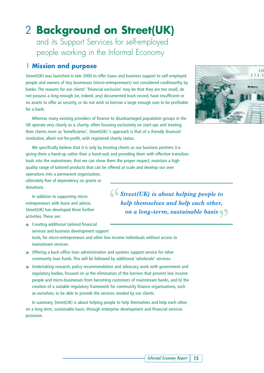### 2 **Background on Street(UK)** and its Support Services for self-employed people working in the Informal Economy

### 1 **Mission and purpose**

Street(UK) was launched in late 2000 to offer loans and business support to self-employed people and owners of tiny businesses (micro-entrepreneurs) not considered creditworthy by banks. The reasons for our clients' 'financial exclusion' may be that they are too small, do not possess a long enough (or, indeed, any) documented track record, have insufficient or no assets to offer as security, or do not wish to borrow a large enough sum to be profitable for a bank.

Whereas many existing providers of finance to disadvantaged population groups in the UK operate very clearly as a *charity*, often focusing exclusively on start-ups and treating their clients more as 'beneficiaries', Street(UK) 's approach is that of a friendly financial institution, albeit not-for-profit, with registered charity status.

We specifically believe that it is only by treating clients as our business partners (i.e. giving them a hand-up rather than a hand-out) and providing them with effective transition tools into the mainstream, that we can show them the proper respect, maintain a high quality range of tailored products that can be offered at scale and develop our own

operations into a permanent organisation, ultimately free of dependency on grants or donations.

In addition to supporting microentrepreneurs with loans and advice, Street(UK) has developed three further activities. These are:

 $\bigcup$  *Street(UK) is about helping people to help themselves and help each other, on a long-term, sustainable basis "*

- Creating additional tailored financial services and business development support tools, for micro-entrepreneurs and other low income individuals without access to mainstream services.
- Offering a back-office loan administration and systems support service for other community loan funds. This will be followed by additional 'wholesale' services.
- Undertaking research, policy recommendation and advocacy work with government and regulatory bodies, focused on a) the elimination of the barriers that prevent low income people and micro-businesses from becoming customers of mainstream banks, and b) the creation of a suitable regulatory framework for community finance organisations, such as ourselves, to be able to provide the services needed by our clients.

In summary, Street(UK) is about helping people to help themselves and help each other, on a long term, sustainable basis, through enterprise development and financial services provision.

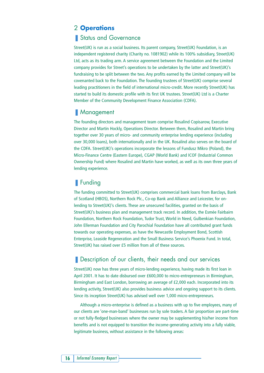### 2 **Operations**

### ■ Status and Governance

Street(UK) is run as a social business. Its parent company, Street(UK) Foundation, is an independent registered charity (Charity no. 1081902) while its 100% subsidiary, Street(UK) Ltd, acts as its trading arm. A service agreement between the Foundation and the Limited company provides for Street's operations to be undertaken by the latter and Street(UK)'s fundraising to be split between the two. Any profits earned by the Limited company will be covenanted back to the Foundation. The founding trustees of Street(UK) comprise several leading practitioners in the field of international micro-credit. More recently Street(UK) has started to build its domestic profile with its first UK trustees. Street(UK) Ltd is a Charter Member of the Community Development Finance Association (CDFA).

#### ■ Management

The founding directors and management team comprise Rosalind Copisarow, Executive Director and Martin Hockly, Operations Director. Between them, Rosalind and Martin bring together over 30 years of micro- and community enterprise lending experience (including over 30,000 loans), both internationally and in the UK. Rosalind also serves on the board of the CDFA. Street(UK)'s operations incorporate the lessons of Fundusz Mikro (Poland), the Micro-Finance Centre (Eastern Europe), CGAP (World Bank) and ICOF (Industrial Common Ownership Fund) where Rosalind and Martin have worked, as well as its own three years of lending experience.

### ■ Funding

The funding committed to Street(UK) comprises commercial bank loans from Barclays, Bank of Scotland (HBOS), Northern Rock Plc., Co-op Bank and Alliance and Leicester, for onlending to Street(UK)'s clients. These are unsecured facilities, granted on the basis of Street(UK)'s business plan and management track record. In addition, the Esmée Fairbairn Foundation, Northern Rock Foundation, Tudor Trust, World in Need, Gulbenkian Foundation, John Ellerman Foundation and City Parochial Foundation have all contributed grant funds towards our operating expenses, as have the Newcastle Employment Bond, Scottish Enterprise, Leaside Regeneration and the Small Business Service's Phoenix Fund. In total, Street(UK) has raised over £5 million from all of these sources.

### ■ Description of our clients, their needs and our services

Street(UK) now has three years of micro-lending experience, having made its first loan in April 2001. It has to date disbursed over £600,000 to micro-entrepreneurs in Birmingham, Birmingham and East London, borrowing an average of £2,000 each. Incorporated into its lending activity, Street(UK) also provides business advice and ongoing support to its clients. Since its inception Street(UK) has advised well over 1,000 micro-entrepreneurs.

Although a micro-enterprise is defined as a business with up to five employees, many of our clients are 'one-man-band' businesses run by sole traders. A fair proportion are part-time or not fully-fledged businesses where the owner may be supplementing his/her income from benefits and is not equipped to transition the income-generating activity into a fully viable, legitimate business, without assistance in the following areas: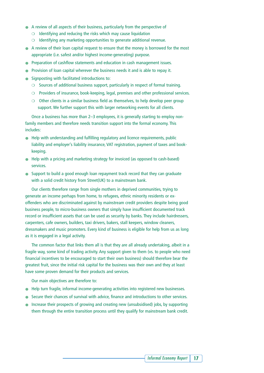- A review of all aspects of their business, particularly from the perspective of
	- $\circ$  Identifying and reducing the risks which may cause liquidation
	- ❍ Identifying any marketing opportunities to generate additional revenue.
- A review of their loan capital request to ensure that the money is borrowed for the most appropriate (i.e. safest and/or highest income-generating) purpose.
- Preparation of cashflow statements and education in cash management issues.
- Provision of loan capital wherever the business needs it and is able to repay it.
- Signposting with facilitated introductions to:
	- ❍ Sources of additional business support, particularly in respect of formal training.
	- ❍ Providers of insurance, book-keeping, legal, premises and other professional services.
	- ❍ Other clients in a similar business field as themselves, to help develop peer group support. We further support this with larger networking events for all clients.

Once a business has more than 2–3 employees, it is generally starting to employ nonfamily members and therefore needs transition support into the formal economy. This includes:

- Help with understanding and fulfilling regulatory and licence requirements, public liability and employer's liability insurance, VAT registration, payment of taxes and bookkeeping.
- Help with a pricing and marketing strategy for invoiced (as opposed to cash-based) services.
- Support to build a good enough loan repayment track record that they can graduate with a solid credit history from Street(UK) to a mainstream bank.

Our clients therefore range from single mothers in deprived communities, trying to generate an income perhaps from home, to refugees, ethnic minority residents or exoffenders who are discriminated against by mainstream credit providers despite being good business people, to micro-business owners that simply have insufficient documented track record or insufficient assets that can be used as security by banks. They include hairdressers, carpenters, cafe owners, builders, taxi drivers, bakers, stall keepers, window cleaners, dressmakers and music promoters. Every kind of business is eligible for help from us as long as it is engaged in a legal activity.

The common factor that links them all is that they are all already undertaking, albeit in a fragile way, some kind of trading activity. Any support given to them (vs. to people who need financial incentives to be encouraged to start their own business) should therefore bear the greatest fruit, since the initial risk capital for the business was their own and they at least have some proven demand for their products and services.

Our main objectives are therefore to:

- Help turn fragile, informal income-generating activities into registered new businesses.
- Secure their chances of survival with advice, finance and introductions to other services.
- Increase their prospects of growing and creating new (unsubsidised) jobs, by supporting them through the entire transition process until they qualify for mainstream bank credit.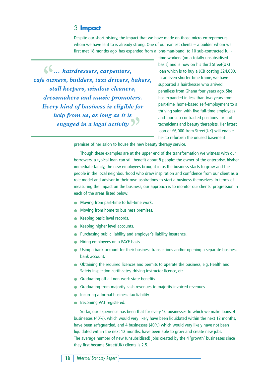#### 3 **Impact**

Despite our short history, the impact that we have made on those micro-entrepreneurs whom we have lent to is already strong. One of our earliest clients – a builder whom we first met 18 months ago, has expanded from a 'one-man-band' to 10 sub-contracted full-

 $\left\{ \right\}$  *... hairdressers, carpenters, cafe owners, builders, taxi drivers, bakers, stall keepers, window cleaners, dressmakers and music promoters. Every kind of business is eligible for help from us, as long as it is*  engaged in a legal activity

time workers (on a totally unsubsidised basis) and is now on his third Street(UK) loan which is to buy a JCB costing £24,000. In an even shorter time frame, we have supported a hairdresser who arrived penniless from Ghana four years ago. She has expanded in less than two years from part-time, home-based self-employment to a thriving salon with five full-time employees and four sub-contracted positions for nail technicians and beauty therapists. Her latest loan of £6,000 from Street(UK) will enable her to refurbish the unused basement

premises of her salon to house the new beauty therapy service.

Though these examples are at the upper end of the transformation we witness with our borrowers, a typical loan can still benefit about 8 people: the owner of the enterprise, his/her immediate family, the new employees brought in as the business starts to grow and the people in the local neighbourhood who draw inspiration and confidence from our client as a role model and advisor in their own aspirations to start a business themselves. In terms of measuring the impact on the business, our approach is to monitor our clients' progression in each of the areas listed below:

- Moving from part-time to full-time work.
- Moving from home to business premises.
- Keeping basic level records.
- Keeping higher level accounts.
- Purchasing public liability and employer's liability insurance.
- Hiring employees on a PAYE basis.
- Using a bank account for their business transactions and/or opening a separate business bank account.
- Obtaining the required licences and permits to operate the business, e.g. Health and Safety inspection certificates, driving instructor licence, etc.
- Graduating off all non-work state benefits.
- Graduating from majority cash revenues to majority invoiced revenues.
- Incurring a formal business tax liability.
- Becoming VAT registered.

So far, our experience has been that for every 10 businesses to which we make loans, 4 businesses (40%), which would very likely have been liquidated within the next 12 months, have been safeguarded, and 4 businesses (40%) which would very likely have not been liquidated within the next 12 months, have been able to grow and create new jobs. The average number of new (unsubsidised) jobs created by the 4 'growth' businesses since they first became Street(UK) clients is 2.5.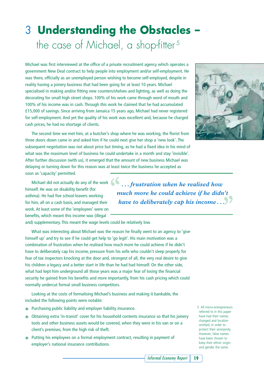# 3 **Understanding the Obstacles –**  the case of Michael, a shop-fitter<sup>5</sup>

Michael was first interviewed at the office of a private recruitment agency which operates a government New Deal contract to help people into employment and/or self-employment. He was there, officially as an unemployed person wishing to become self-employed, despite in reality having a joinery business that had been going for at least 10 years. Michael specialised in making and/or fitting new counters/shelves and lighting, as well as doing the decorating for small high street shops. 100% of his work came through word of mouth and 100% of his income was in cash. Through this work he claimed that he had accumulated £15,000 of savings. Since arriving from Jamaica 15 years ago, Michael had never registered for self-employment. And yet the quality of his work was excellent and, because he charged cash prices, he had no shortage of clients.

The second time we met him, at a butcher's shop where he was working, the florist from three doors down came in and asked him if he could next give her shop a 'new look'. The subsequent negotiation was not about price but timing, as he had a fixed idea in his mind of what was the maximum level of business he could undertake in a month and stay 'invisible'. After further discussion (with us), it emerged that the amount of new business Michael was delaying or turning down for this reason was at least twice the business he accepted as soon as 'capacity' permitted.

Michael did not actually do any of the work himself. He was on disability benefit (for asthma). He had five school-leavers working for him, all on a cash basis, and managed their work. At least some of the 'employees' were on benefits, which meant this income was (illegal

and) supplementary. This meant the wage levels could be relatively low.

What was interesting about Michael was the reason he finally went to an agency to 'give himself up' and try to see if he could get help to 'go legit'. His main motivation was a combination of frustration when he realised how much more he could achieve if he didn't have to deliberately cap his income, pressure from his wife who couldn't sleep properly for fear of tax inspectors knocking at the door and, strongest of all, the very real desire to give his children a legacy and a better start in life than he had had himself. On the other side. what had kept him underground all those years was a major fear of losing the financial security he gained from his benefits and more importantly, from his cash pricing which could normally undercut formal small business competitors.

Looking at the costs of formalising Michael's business and making it bankable, the included the following points were notable:

- Purchasing public liability and employer liability insurance.
- Obtaining extra 'in-transit' cover for his household contents insurance so that his joinery tools and other business assets would be covered, when they were in his van or on a client's premises, from the high risk of theft.
- Putting his employees on a formal employment contract, resulting in payment of employer's national insurance contributions.

*Informal Economy Report* **19**



*. . . frustration when he realised how much more he could achieve if he didn't have to deliberately cap his income . . . "*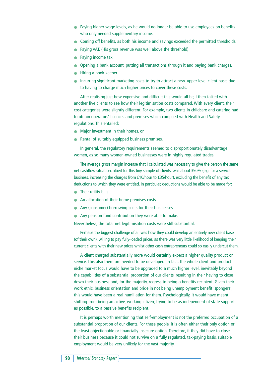- Paying higher wage levels, as he would no longer be able to use employees on benefits who only needed supplementary income.
- Coming off benefits, as both his income and savings exceeded the permitted thresholds.
- Paying VAT. (His gross revenue was well above the threshold).
- Paying income tax.
- Opening a bank account, putting all transactions through it and paying bank charges.
- Hiring a book-keeper.
- Incurring significant marketing costs to try to attract a new, upper level client base, due to having to charge much higher prices to cover these costs.

After realising just how expensive and difficult this would all be, I then talked with another five clients to see how their legitimisation costs compared. With every client, their cost categories were slightly different. For example, two clients in childcare and catering had to obtain operators' licences and premises which complied with Health and Safety regulations. This entailed:

- Major investment in their homes, or
- Rental of suitably equipped business premises.

In general, the regulatory requirements seemed to disproportionately disadvantage women, as so many women-owned businesses were in highly regulated trades.

The average gross margin increase that I calculated was necessary to give the person the same net cashflow situation, albeit for this tiny sample of clients, was about 350% (e.g. for a service business, increasing the charges from £10/hour to £35/hour), excluding the benefit of any tax deductions to which they were entitled. In particular, deductions would be able to be made for:

- Their utility bills.
- An allocation of their home premises costs.
- Any (consumer) borrowing costs for their businesses.
- Any pension fund contribution they were able to make.

Nevertheless, the total net legitimisation costs were still substantial.

Perhaps the biggest challenge of all was how they could develop an entirely new client base (of their own), willing to pay fully-loaded prices, as there was very little likelihood of keeping their current clients with their new prices whilst other cash entrepreneurs could so easily undercut them.

A client charged substantially more would certainly expect a higher quality product or service. This also therefore needed to be developed. In fact, the whole client and product niche market focus would have to be upgraded to a much higher level, inevitably beyond the capabilities of a substantial proportion of our clients, resulting in their having to close down their business and, for the majority, regress to being a benefits recipient. Given their work ethic, business orientation and pride in not being unemployment benefit 'spongers', this would have been a real humiliation for them. Psychologically, it would have meant shifting from being an active, working citizen, trying to be as independent of state support as possible, to a passive benefits recipient.

It is perhaps worth mentioning that self-employment is not the preferred occupation of a substantial proportion of our clients. For these people, it is often either their only option or the least objectionable or financially insecure option. Therefore, if they did have to close their business because it could not survive on a fully regulated, tax-paying basis, suitable employment would be very unlikely for the vast majority.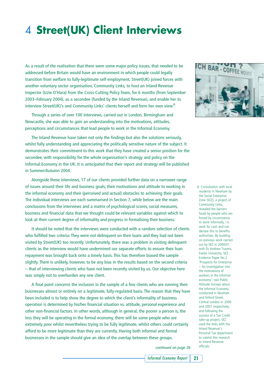# 4 **Street(UK) Client Interviews**

As a result of the realisation that there were some major policy issues, that needed to be addressed before Britain would have an environment in which people could legally transition from welfare to fully-legitimate self-employment, Street(UK) joined forces with another voluntary sector organisation, Community Links, to host an Inland Revenue Inspector (Izzie O'Hara) from the Cross-Cutting Policy Team, for 6 months (from September 2003–February 2004), as a secondee (funded by the Inland Revenue), and enable her to interview Street(UK)'s and Community Links' clients herself and form her own view.<sup>6</sup>

Through a series of over 100 interviews, carried out in London, Birmingham and Newcastle, she was able to gain an understanding into the motivations, attitudes, perceptions and circumstances that lead people to work in the Informal Economy.

The Inland Revenue have taken not only the findings but also the solutions seriously, whilst fully understanding and appreciating the politically sensitive nature of the subject. It demonstrates their commitment to this work that they have created a senior position for the secondee, with responsibility for the whole organisation's strategy and policy on the Informal Economy in the UK. It is anticipated that their report and strategy will be published in Summer/Autumn 2004.

Alongside these interviews, 17 of our clients provided further data on a narrower range of issues around their life and business goals, their motivations and attitude to working in the informal economy and their (perceived and actual) obstacles to achieving their goals. The individual interviews are each summarised in Section 7, while below are the main conclusions from the interviews and a matrix of psychological scores, social measures, business and financial data that we thought could be relevant variables against which to look at their current degree of informality and progress in formalising their business.

It should be noted that the interviews were conducted with a random selection of clients who fulfilled two criteria: They were not delinquent on their loans and they had not been visited by Street(UK) too recently. Unfortunately, there was a problem in visiting delinquent clients as the interview would have undermined our separate efforts to ensure their loan repayment was brought back onto a timely basis. This has therefore biased the sample slightly. There is unlikely, however, to be any bias in the results based on the second criteria – that of interviewing clients who have not been recently visited by us. Our objective here was simply not to overburden any one client.

A final point concerns the inclusion in the sample of a few clients who are running their businesses almost or entirely on a legitimate, fully-regulated basis. The reason that they have been included is to help show the degree to which the client's informality of business operation is determined by his/her financial situation vs. attitude, personal experience and other non-financial factors. In other words, although in general, the poorer a person is, the less they will be operating in the formal economy, there will be some people who are extremely poor whilst nevertheless trying to be fully legitimate, whilst others could certainly afford to be more legitimate than they are currently. Having both informal and formal businesses in the sample should give an idea of the overlap between these groups.



6 Consultation with local residents in Newham by the Social Enterprise Zone (SEZ), a project of Community Links, revealed the barriers faced by people who are forced by circumstance to work informally, i.e. work for cash and not declare this to benefits authorities. By building on previous work carried out by SEZ in 2000/01 with Dr Andrew Travers, Exeter University, SEZ Evidence Paper No.2 'Prospects for Enterprise – An investigation into the motivations of workers in the informal economy'; two Public Attitude Surveys about the Informal Economy conducted in Newham and Oxford Street, Central London in 2000 and 2001 respectively; and following the success of a Tax Credit take-up project; SEZ used the links with the Inland Revenue's Personal Tax department to submit this research to Inland Revenue officials.

continued on page 26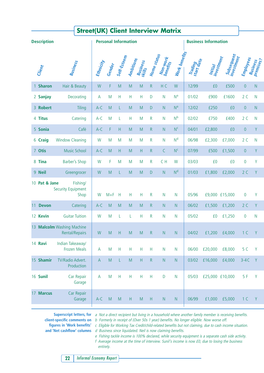| <b>Personal Information</b><br><b>Business Information</b><br><b>Description</b><br>Work benefits -<br>Home status<br>Subsequent<br>investment<br>Self-Esteem<br>Initial<br>investment<br>Non-work<br>benefits<br>Employees<br>Ambritions<br>Trading<br>Start date<br>Business<br>Premisess<br>Business<br>skills<br>Ethnicity<br><b>Business</b><br>Gender<br>Client<br>Hair & Beauty<br>F<br>£0<br>$\boldsymbol{0}$<br>1 Sharon<br>W<br>M<br>M<br>M<br>$\mathsf{R}$<br>H <sub>C</sub><br>W<br>12/99<br>£500<br>N <sup>a</sup><br>M<br>Н<br>Н<br>Н<br>D<br>$\mathsf{N}$<br>01/02<br>£900<br>£1600<br>2C<br>2 Sanjay<br>Decorating<br>$\mathsf{A}$<br>N <sup>a</sup><br>3 Robert<br>M<br>M<br>$\theta$<br><b>Tiling</b><br>$A-C$<br>M<br>D<br>N<br>12/02<br>£250<br>£0<br>L<br>N <sub>b</sub><br>$A-C$<br>M<br>H<br>$\mathsf{R}$<br>02/02<br>£750<br>£400<br>4 Titus<br>Catering<br>M<br>N<br>2 <sup>C</sup><br>L<br>N <sup>c</sup><br>Café<br>$A-C$<br>F<br>H<br>M<br>04/01<br>£2,800<br>£0<br>5 Sonia<br>M<br>$\mathsf{R}$<br>N<br>$\theta$<br>N <sup>d</sup><br><b>Window Cleaning</b><br>06/98<br>£2,300<br>£7,000<br>2C<br>6 Craig<br>W<br>M<br>M<br>M<br>M<br>R<br>N<br><b>Music School</b><br>N <sup>c</sup><br>7 Otis<br>C<br>07/99<br>£1,500<br>$A-C$<br>M<br>H<br>M<br>H<br>$\mathsf R$<br>£500<br>$\overline{0}$<br>Barber's Shop<br>F<br>CH<br>03/03<br>£0<br>$\mathbf 0$<br>8 Tina<br>W<br>M<br>M<br>M<br>R.<br>W<br>£0<br>N <sup>d</sup><br>9 Neil<br>M<br>01/03<br>£1,800<br>£2,000<br>Greengrocer<br>W<br>M<br>M<br>D<br>N<br>2C<br>L<br>10 Pat & Jane<br>Fishing/<br><b>Security Equipment</b><br>$M+F$<br>H<br>H<br>05/96<br>£9,000 £15,000<br>$\mathbf 0$<br>W<br>Н<br>R<br>N<br>Shop<br>N<br><b>Devon</b><br>M<br>06/02<br>£1,500<br>Catering<br>$A-C$<br>M<br>M<br>M<br>$\mathsf R$<br>N<br>N<br>£1,200<br>2 <sup>C</sup><br>11<br><b>Guitar Tuition</b><br>W<br>L<br>$\mathsf R$<br>05/02<br>$\mathbf 0$<br>12 Kevin<br>M<br>Н<br>N<br>N<br>£0<br>£1,250<br>L<br>13 Malcolm Washing Machine<br>Rental/Repairs<br>${\sf M}$<br>H<br>M<br>${\sf M}$<br>R<br>${\sf N}$<br>04/02<br>£1,200<br>£4,000<br>W<br>${\sf N}$<br>1 <sup>C</sup><br>14 Ravi<br>Indian Takeaway/ |                | <b>Street(UK) Client Interview Matrix</b> |         |       |  |              |   |   |                           |   |   |              |  |  |
|-------------------------------------------------------------------------------------------------------------------------------------------------------------------------------------------------------------------------------------------------------------------------------------------------------------------------------------------------------------------------------------------------------------------------------------------------------------------------------------------------------------------------------------------------------------------------------------------------------------------------------------------------------------------------------------------------------------------------------------------------------------------------------------------------------------------------------------------------------------------------------------------------------------------------------------------------------------------------------------------------------------------------------------------------------------------------------------------------------------------------------------------------------------------------------------------------------------------------------------------------------------------------------------------------------------------------------------------------------------------------------------------------------------------------------------------------------------------------------------------------------------------------------------------------------------------------------------------------------------------------------------------------------------------------------------------------------------------------------------------------------------------------------------------------------------------------------------------------------------------------------------------------------------------------------------------------------------------------------------------------------------------------------------------------------------------------------------------------------------------------------------------------------------------------------------------|----------------|-------------------------------------------|---------|-------|--|--------------|---|---|---------------------------|---|---|--------------|--|--|
|                                                                                                                                                                                                                                                                                                                                                                                                                                                                                                                                                                                                                                                                                                                                                                                                                                                                                                                                                                                                                                                                                                                                                                                                                                                                                                                                                                                                                                                                                                                                                                                                                                                                                                                                                                                                                                                                                                                                                                                                                                                                                                                                                                                           |                |                                           |         |       |  |              |   |   |                           |   |   |              |  |  |
|                                                                                                                                                                                                                                                                                                                                                                                                                                                                                                                                                                                                                                                                                                                                                                                                                                                                                                                                                                                                                                                                                                                                                                                                                                                                                                                                                                                                                                                                                                                                                                                                                                                                                                                                                                                                                                                                                                                                                                                                                                                                                                                                                                                           |                |                                           |         |       |  |              |   |   |                           |   |   |              |  |  |
|                                                                                                                                                                                                                                                                                                                                                                                                                                                                                                                                                                                                                                                                                                                                                                                                                                                                                                                                                                                                                                                                                                                                                                                                                                                                                                                                                                                                                                                                                                                                                                                                                                                                                                                                                                                                                                                                                                                                                                                                                                                                                                                                                                                           | $\overline{N}$ |                                           |         |       |  |              |   |   |                           |   |   |              |  |  |
|                                                                                                                                                                                                                                                                                                                                                                                                                                                                                                                                                                                                                                                                                                                                                                                                                                                                                                                                                                                                                                                                                                                                                                                                                                                                                                                                                                                                                                                                                                                                                                                                                                                                                                                                                                                                                                                                                                                                                                                                                                                                                                                                                                                           | N              |                                           |         |       |  |              |   |   |                           |   |   |              |  |  |
|                                                                                                                                                                                                                                                                                                                                                                                                                                                                                                                                                                                                                                                                                                                                                                                                                                                                                                                                                                                                                                                                                                                                                                                                                                                                                                                                                                                                                                                                                                                                                                                                                                                                                                                                                                                                                                                                                                                                                                                                                                                                                                                                                                                           | N              |                                           |         |       |  |              |   |   |                           |   |   |              |  |  |
|                                                                                                                                                                                                                                                                                                                                                                                                                                                                                                                                                                                                                                                                                                                                                                                                                                                                                                                                                                                                                                                                                                                                                                                                                                                                                                                                                                                                                                                                                                                                                                                                                                                                                                                                                                                                                                                                                                                                                                                                                                                                                                                                                                                           | N              |                                           |         |       |  |              |   |   |                           |   |   |              |  |  |
|                                                                                                                                                                                                                                                                                                                                                                                                                                                                                                                                                                                                                                                                                                                                                                                                                                                                                                                                                                                                                                                                                                                                                                                                                                                                                                                                                                                                                                                                                                                                                                                                                                                                                                                                                                                                                                                                                                                                                                                                                                                                                                                                                                                           | Y              |                                           |         |       |  |              |   |   |                           |   |   |              |  |  |
|                                                                                                                                                                                                                                                                                                                                                                                                                                                                                                                                                                                                                                                                                                                                                                                                                                                                                                                                                                                                                                                                                                                                                                                                                                                                                                                                                                                                                                                                                                                                                                                                                                                                                                                                                                                                                                                                                                                                                                                                                                                                                                                                                                                           | N              |                                           |         |       |  |              |   |   |                           |   |   |              |  |  |
|                                                                                                                                                                                                                                                                                                                                                                                                                                                                                                                                                                                                                                                                                                                                                                                                                                                                                                                                                                                                                                                                                                                                                                                                                                                                                                                                                                                                                                                                                                                                                                                                                                                                                                                                                                                                                                                                                                                                                                                                                                                                                                                                                                                           | Y              |                                           |         |       |  |              |   |   |                           |   |   |              |  |  |
|                                                                                                                                                                                                                                                                                                                                                                                                                                                                                                                                                                                                                                                                                                                                                                                                                                                                                                                                                                                                                                                                                                                                                                                                                                                                                                                                                                                                                                                                                                                                                                                                                                                                                                                                                                                                                                                                                                                                                                                                                                                                                                                                                                                           | Y              |                                           |         |       |  |              |   |   |                           |   |   |              |  |  |
|                                                                                                                                                                                                                                                                                                                                                                                                                                                                                                                                                                                                                                                                                                                                                                                                                                                                                                                                                                                                                                                                                                                                                                                                                                                                                                                                                                                                                                                                                                                                                                                                                                                                                                                                                                                                                                                                                                                                                                                                                                                                                                                                                                                           | Y              |                                           |         |       |  |              |   |   |                           |   |   |              |  |  |
|                                                                                                                                                                                                                                                                                                                                                                                                                                                                                                                                                                                                                                                                                                                                                                                                                                                                                                                                                                                                                                                                                                                                                                                                                                                                                                                                                                                                                                                                                                                                                                                                                                                                                                                                                                                                                                                                                                                                                                                                                                                                                                                                                                                           | Υ              |                                           |         |       |  |              |   |   |                           |   |   |              |  |  |
|                                                                                                                                                                                                                                                                                                                                                                                                                                                                                                                                                                                                                                                                                                                                                                                                                                                                                                                                                                                                                                                                                                                                                                                                                                                                                                                                                                                                                                                                                                                                                                                                                                                                                                                                                                                                                                                                                                                                                                                                                                                                                                                                                                                           | Y              |                                           |         |       |  |              |   |   |                           |   |   |              |  |  |
|                                                                                                                                                                                                                                                                                                                                                                                                                                                                                                                                                                                                                                                                                                                                                                                                                                                                                                                                                                                                                                                                                                                                                                                                                                                                                                                                                                                                                                                                                                                                                                                                                                                                                                                                                                                                                                                                                                                                                                                                                                                                                                                                                                                           | N              |                                           |         |       |  |              |   |   |                           |   |   |              |  |  |
|                                                                                                                                                                                                                                                                                                                                                                                                                                                                                                                                                                                                                                                                                                                                                                                                                                                                                                                                                                                                                                                                                                                                                                                                                                                                                                                                                                                                                                                                                                                                                                                                                                                                                                                                                                                                                                                                                                                                                                                                                                                                                                                                                                                           | Y              |                                           |         |       |  |              |   |   |                           |   |   |              |  |  |
| 5 <sup>C</sup><br>$\mathsf A$<br>$\mathsf{N}$                                                                                                                                                                                                                                                                                                                                                                                                                                                                                                                                                                                                                                                                                                                                                                                                                                                                                                                                                                                                                                                                                                                                                                                                                                                                                                                                                                                                                                                                                                                                                                                                                                                                                                                                                                                                                                                                                                                                                                                                                                                                                                                                             | Y              | £8,000                                    | £20,000 | 06/00 |  | $\mathsf{N}$ | Н | H | $\boldsymbol{\mathsf{H}}$ | H | M | Frozen Meals |  |  |
| 15 Shamir<br>TV/Radio Advert.<br>M<br>$\boldsymbol{\mathsf{H}}$<br>L<br>M<br>${\sf R}$<br>${\sf N}$<br>${\sf N}$<br>03/02<br>£16,000<br>£4,000<br>$3-4C$<br>$\mathsf A$<br>Production                                                                                                                                                                                                                                                                                                                                                                                                                                                                                                                                                                                                                                                                                                                                                                                                                                                                                                                                                                                                                                                                                                                                                                                                                                                                                                                                                                                                                                                                                                                                                                                                                                                                                                                                                                                                                                                                                                                                                                                                     | Y              |                                           |         |       |  |              |   |   |                           |   |   |              |  |  |
| 16 Sunil<br>$\sf H$<br>$\mathsf H$<br>$\mathsf H$<br>£25,000 £10,000<br>5F<br>Car Repair<br>M<br>Н<br>D<br>$\mathsf{N}$<br>05/03<br>A<br>Garage                                                                                                                                                                                                                                                                                                                                                                                                                                                                                                                                                                                                                                                                                                                                                                                                                                                                                                                                                                                                                                                                                                                                                                                                                                                                                                                                                                                                                                                                                                                                                                                                                                                                                                                                                                                                                                                                                                                                                                                                                                           | Y              |                                           |         |       |  |              |   |   |                           |   |   |              |  |  |
| 17 Marcus<br>Car Repair<br>£1,000<br>£5,000<br>${\sf M}$<br>06/99<br>1 <sup>C</sup><br>Garage<br>$A-C$<br>M<br>M<br>H<br>H<br>${\sf N}$<br>${\sf N}$                                                                                                                                                                                                                                                                                                                                                                                                                                                                                                                                                                                                                                                                                                                                                                                                                                                                                                                                                                                                                                                                                                                                                                                                                                                                                                                                                                                                                                                                                                                                                                                                                                                                                                                                                                                                                                                                                                                                                                                                                                      | Y              |                                           |         |       |  |              |   |   |                           |   |   |              |  |  |

Superscript letters, for a Not a direct recipient but living in a household where another family member is receiving benefits.

client-specific comments on b Formerly in receipt of (Over 50s 1 year) benefits. No longer eligible. Now worse off.

figures in 'Work benefits' c Eligible for Working Tax Credit/child-related benefits but not claiming, due to cash income situation. and 'Net cashflow' columns d Business since liquidated. Neil is now claiming benefits.

> <sup>e</sup> Fishing tackle income is 100% declared, while security equipment is a separate cash side activity. f Average income at the time of interview. Sunil's income is now £0, due to losing the business entirely.

**22** *Informal Economy Report*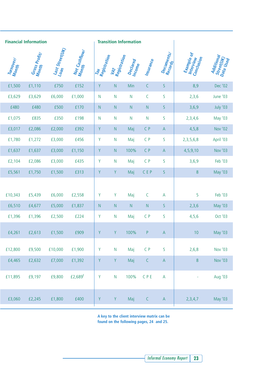| <b>Financial Information</b> |                        |                 |                                    |                     |                     | <b>Transition Information</b> |             |                                                                       |                                       |                                       |
|------------------------------|------------------------|-----------------|------------------------------------|---------------------|---------------------|-------------------------------|-------------|-----------------------------------------------------------------------|---------------------------------------|---------------------------------------|
| Turnover/<br>Month           | Gross Profity<br>Month | Last Street(UK) | Net Cashflow <sub>/</sub><br>Month | Tax<br>Registration | VAT<br>Registration | Declared<br>Income            | Insurance   | Documents/<br>Records                                                 | Example of<br>Conclusion<br>Interview | Additional<br>Street(UK)<br>Data Used |
| £1,500                       | £1,110                 | £750            | £152                               | Y                   | ${\sf N}$           | Min                           | $\mathsf C$ | $\mathsf S$                                                           | 8,9                                   | Dec '02                               |
| £3,629                       | £3,629                 | £6,000          | £1,000                             | $\mathsf{N}$        | ${\sf N}$           | $\mathsf{N}$                  | C           | S                                                                     | 2,3,6                                 | June '03                              |
| £480                         | £480                   | £500            | £170                               | ${\sf N}$           | ${\sf N}$           | N                             | ${\sf N}$   | $\mathsf S$                                                           | 3,6,9                                 | July '03                              |
| £1,075                       | £835                   | £350            | £198                               | ${\sf N}$           | ${\sf N}$           | $\mathsf{N}$                  | ${\sf N}$   | $\mathsf S$                                                           | 2,3,4,6                               | May '03                               |
| £3,017                       | £2,086                 | £2,000          | £392                               | Y                   | ${\sf N}$           | Maj                           | $C$ $P$     | $\mathsf A$                                                           | 4, 5, 8                               | Nov '02                               |
| £1,780                       | £1,272                 | £3,000          | £456                               | Y                   | ${\sf N}$           | Maj                           | $C$ $P$     | $\mathsf S$                                                           | 2, 3, 5, 6, 8                         | April '03                             |
| £1,637                       | £1,637                 | £3,000          | £1,150                             | Y                   | ${\sf N}$           | 100%                          | $C$ $P$     | $\mathsf A$                                                           | 4,5,9,10                              | Nov '03                               |
| £2,104                       | £2,086                 | £3,000          | £435                               | Y                   | ${\sf N}$           | Maj                           | $C$ $P$     | S                                                                     | 3,6,9                                 | Feb '03                               |
| £5,561                       | £1,750                 | £1,500          | £313                               | Y                   | $\mathsf Y$         | Maj                           | CEP         | $\mathsf S$                                                           | 8                                     | May '03                               |
| £10,343                      | £5,439                 | £6,000          | £2,558                             | Y                   | Y                   | Maj                           | $\mathsf C$ | $\overline{A}$                                                        | 5                                     | Feb '03                               |
| £6,510                       | £4,677                 | £5,000          | £1,837                             | ${\sf N}$           | ${\sf N}$           | $\mathsf{N}$                  | ${\sf N}$   | $\mathsf S$                                                           | 2, 3, 6                               | May '03                               |
| £1,396                       | £1,396                 | £2,500          | £224                               | Y                   | ${\sf N}$           | Maj                           | $C$ $P$     | S                                                                     | 4, 5, 6                               | Oct '03                               |
| £4,261                       | £2,613                 | £1,500          | £909                               | $\mathsf Y$         | Y.                  | 100%                          | P           | $\mathsf{A}$                                                          | 10 <sup>°</sup>                       | May '03                               |
| £12,800                      | £9,500                 | £10,000         | £1,900                             | Y                   | ${\sf N}$           | Maj                           | $C$ $P$     | $\sf S$                                                               | 2,6,8                                 | Nov '03                               |
| £4,465                       | £2,632                 | £7,000          | £1,392                             | Y                   | $\mathsf Y$         | Maj                           | $\mathsf C$ | $\mathsf A$                                                           | 8                                     | Nov '03                               |
| £11,895                      | £9,197                 | £9,800          | £2,689 <sup>f</sup>                | Y                   | ${\sf N}$           | 100%                          | CPE         | $\mathsf A$                                                           | ÷,                                    | Aug '03                               |
| £3,060                       | £2,245                 | £1,800          | £400                               | Y                   | $\mathsf Y$         | Maj                           | $\mathsf C$ | $\mathsf{A}% _{\mathsf{A}}^{\prime}=\mathsf{A}_{\mathsf{A}}^{\prime}$ | 2,3,4,7                               | May '03                               |

I.

**A key to the client interview matrix can be found on the following pages, 24 and 25.**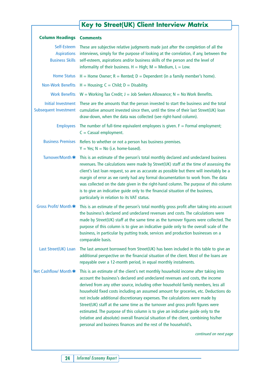### **Key to Street(UK) Client Interview Matrix**

| <b>Column Headings Comments</b>                             |                                                                                                                                                                                                                                                                                                                                                                                                                                                                                                                                                                                                                                                                                                                                                                                             |
|-------------------------------------------------------------|---------------------------------------------------------------------------------------------------------------------------------------------------------------------------------------------------------------------------------------------------------------------------------------------------------------------------------------------------------------------------------------------------------------------------------------------------------------------------------------------------------------------------------------------------------------------------------------------------------------------------------------------------------------------------------------------------------------------------------------------------------------------------------------------|
| Self-Esteem<br><b>Aspirations</b><br><b>Business Skills</b> | These are subjective relative judgments made just after the completion of all the<br>interviews, simply for the purpose of looking at the correlation, if any, between the<br>self-esteem, aspirations and/or business skills of the person and the level of<br>informality of their business. $H = High$ ; $M = Medium$ , $L = Low$ .                                                                                                                                                                                                                                                                                                                                                                                                                                                      |
| <b>Home Status</b>                                          | $H =$ Home Owner; R = Rented; D = Dependent (in a family member's home).                                                                                                                                                                                                                                                                                                                                                                                                                                                                                                                                                                                                                                                                                                                    |
| <b>Non-Work Benefits</b>                                    | $H =$ Housing; $C =$ Child; $D =$ Disability.                                                                                                                                                                                                                                                                                                                                                                                                                                                                                                                                                                                                                                                                                                                                               |
| <b>Work Benefits</b>                                        | $W =$ Working Tax Credit; J = Job Seekers Allowance; N = No Work Benefits.                                                                                                                                                                                                                                                                                                                                                                                                                                                                                                                                                                                                                                                                                                                  |
| Initial Investment<br><b>Subsequent Investment</b>          | These are the amounts that the person invested to start the business and the total<br>cumulative amount invested since then, until the time of their last Street(UK) loan<br>draw-down, when the data was collected (see right-hand column).                                                                                                                                                                                                                                                                                                                                                                                                                                                                                                                                                |
| <b>Employees</b>                                            | The number of full-time equivalent employees is given. $F =$ Formal employment;<br>$C =$ Casual employment.                                                                                                                                                                                                                                                                                                                                                                                                                                                                                                                                                                                                                                                                                 |
| <b>Business Premises</b>                                    | Refers to whether or not a person has business premises.<br>$Y = Yes; N = No$ (i.e. home-based).                                                                                                                                                                                                                                                                                                                                                                                                                                                                                                                                                                                                                                                                                            |
| Turnover/Month *                                            | This is an estimate of the person's total monthly declared and undeclared business<br>revenues. The calculations were made by Street(UK) staff at the time of assessing the<br>client's last loan request, so are as accurate as possible but there will inevitably be a<br>margin of error as we rarely had any formal documentation to work from. The data<br>was collected on the date given in the right-hand column. The purpose of this column<br>is to give an indicative guide only to the financial situation of the business,<br>particularly in relation to its VAT status.                                                                                                                                                                                                      |
| Gross Profit/ Month *                                       | This is an estimate of the person's total monthly gross profit after taking into account<br>the business's declared and undeclared revenues and costs. The calculations were<br>made by Street(UK) staff at the same time as the turnover figures were collected. The<br>purpose of this column is to give an indicative guide only to the overall scale of the<br>business, in particular by putting trade, services and production businesses on a<br>comparable basis.                                                                                                                                                                                                                                                                                                                   |
| Last Street(UK) Loan                                        | The last amount borrowed from Street(UK) has been included in this table to give an<br>additional perspective on the financial situation of the client. Most of the loans are<br>repayable over a 12-month period, in equal monthly instalments.                                                                                                                                                                                                                                                                                                                                                                                                                                                                                                                                            |
| Net Cashflow/ Month *                                       | This is an estimate of the client's net monthly household income after taking into<br>account the business's declared and undeclared revenues and costs, the income<br>derived from any other source, including other household family members, less all<br>household fixed costs including an assumed amount for groceries, etc. Deductions do<br>not include additional discretionary expenses. The calculations were made by<br>Street(UK) staff at the same time as the turnover and gross profit figures were<br>estimated. The purpose of this column is to give an indicative guide only to the<br>(relative and absolute) overall financial situation of the client, combining his/her<br>personal and business finances and the rest of the household's.<br>continued on next page |
|                                                             |                                                                                                                                                                                                                                                                                                                                                                                                                                                                                                                                                                                                                                                                                                                                                                                             |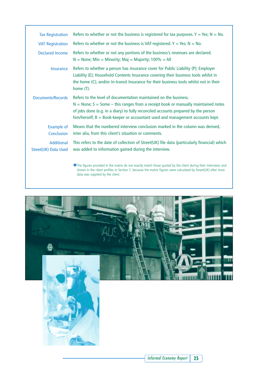| <b>Tax Registration</b>                   | Refers to whether or not the business is registered for tax purposes. $Y = Yes$ ; $N = No$ .                                                                                                                                                                                                                                      |
|-------------------------------------------|-----------------------------------------------------------------------------------------------------------------------------------------------------------------------------------------------------------------------------------------------------------------------------------------------------------------------------------|
| <b>VAT Registration</b>                   | Refers to whether or not the business is VAT-registered. $Y = Yes; N = No$ .                                                                                                                                                                                                                                                      |
| Declared Income                           | Refers to whether or not any portions of the business's revenues are declared.<br>$N =$ None; Min = Minority; Maj = Majority; 100% = All                                                                                                                                                                                          |
| <b>Insurance</b>                          | Refers to whether a person has insurance cover for Public Liability (P); Employer<br>Liability (E); Household Contents Insurance covering their business tools whilst in<br>the home (C); and/or In-transit Insurance for their business tools whilst not in their<br>home (T).                                                   |
| Documents/Records                         | Refers to the level of documentation maintained on the business.<br>$N = None$ ; S = Some – this ranges from a receipt book or manually maintained notes<br>of jobs done (e.g. in a diary) to fully reconciled accounts prepared by the person<br>$him/herself; B = Book-keeper or accountant used and management accounts kept.$ |
| <b>Example of</b><br>Conclusion           | Means that the numbered interview conclusion marked in the column was derived,<br>inter alia, from this client's situation or comments.                                                                                                                                                                                           |
| <b>Additional</b><br>Street(UK) Data Used | This refers to the date of collection of Street(UK) file data (particularly financial) which<br>was added to information gained during the interview.                                                                                                                                                                             |
|                                           | $\blacktriangleright$ The figures provided in the matrix do not exactly match those quoted by the slight during their intenviews and                                                                                                                                                                                              |

✱The figures provided in the matrix do not exactly match those quoted by the client during their interviews and shown in the client profiles in Section 7, because the matrix figures were calculated by Street(UK) after more data was supplied by the client.

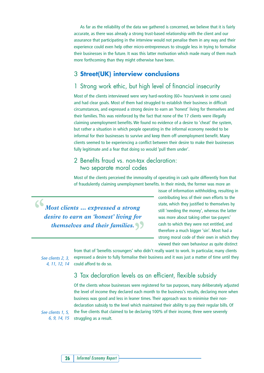As far as the reliability of the data we gathered is concerned, we believe that it is fairly accurate, as there was already a strong trust-based relationship with the client and our assurance that participating in the interview would not penalise them in any way and their experience could even help other micro-entrepreneurs to struggle less in trying to formalise their businesses in the future. It was this latter motivation which made many of them much more forthcoming than they might otherwise have been.

### 3 **Street(UK) interview conclusions**

### 1 Strong work ethic, but high level of financial insecurity

Most of the clients interviewed were very hard-working (60+ hours/week in some cases) and had clear goals. Most of them had struggled to establish their business in difficult circumstances, and expressed a strong desire to earn an 'honest' living for themselves and their families. This was reinforced by the fact that none of the 17 clients were illegally claiming unemployment benefits. We found no evidence of a desire to 'cheat' the system, but rather a situation in which people operating in the informal economy needed to be informal for their businesses to survive and keep them off unemployment benefit. Many clients seemed to be experiencing a conflict between their desire to make their businesses fully legitimate and a fear that doing so would 'pull them under'.

### 2 Benefits fraud vs. non-tax declaration: two separate moral codes

Most of the clients perceived the immorality of operating in cash quite differently from that of fraudulently claiming unemployment benefits. In their minds, the former was more an

 $\begin{array}{c} \bullet \ \bullet \\ \bullet \end{array}$  *Most clients ... expressed a strong desire to earn an 'honest' living for themselves and their families. "* issue of information withholding, resulting in contributing less of their own efforts to the state, which they justified to themselves by still 'needing the money', whereas the latter was more about taking other tax-payers' cash to which they were not entitled, and therefore a much bigger 'sin'. Most had a strong moral code of their own in which they viewed their own behaviour as quite distinct

See clients 2, 3, 4, 11, 12, 14

from that of 'benefits scroungers' who didn't really want to work. In particular, many clients expressed a desire to fully formalise their business and it was just a matter of time until they could afford to do so.

### 3 Tax declaration levels as an efficient, flexible subsidy

Of the clients whose businesses were registered for tax purposes, many deliberately adjusted the level of income they declared each month to the business's results, declaring more when business was good and less in leaner times. Their approach was to minimise their nondeclaration subsidy to the level which maintained their ability to pay their regular bills. Of the five clients that claimed to be declaring 100% of their income, three were severely struggling as a result.

See clients 1, 5, 6, 9, 14, 15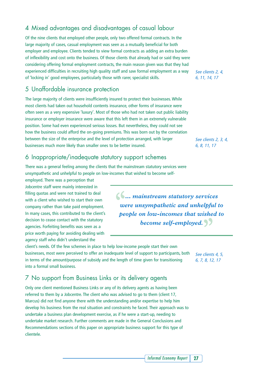### 4 Mixed advantages and disadvantages of casual labour

Of the nine clients that employed other people, only two offered formal contracts. In the large majority of cases, casual employment was seen as a mutually beneficial for both employer and employee. Clients tended to view formal contracts as adding an extra burden of inflexibility and cost onto the business. Of those clients that already had or said they were considering offering formal employment contracts, the main reason given was that they had experienced difficulties in recruiting high quality staff and saw formal employment as a way of 'locking in' good employees, particularly those with rarer, specialist skills.

### 5 Unaffordable insurance protection

The large majority of clients were insufficiently insured to protect their businesses. While most clients had taken out household contents insurance, other forms of insurance were often seen as a very expensive 'luxury'. Most of those who had not taken out public liability insurance or employer insurance were aware that this left them in an extremely vulnerable position. Some had even experienced serious losses. But nevertheless, they could not see how the business could afford the on-going premiums. This was born out by the correlation between the size of the enterprise and the level of protection arranged, with larger businesses much more likely than smaller ones to be better insured.

### 6 Inappropriate/inadequate statutory support schemes

There was a general feeling among the clients that the mainstream statutory services were unsympathetic and unhelpful to people on low-incomes that wished to become self-

employed. There was a perception that Jobcentre staff were mainly interested in filling quotas and were not trained to deal with a client who wished to start their own company rather than take paid employment. In many cases, this contributed to the client's decision to cease contact with the statutory agencies. Forfeiting benefits was seen as a price worth paying for avoiding dealing with agency staff who didn't understand the

client's needs. Of the few schemes in place to help low-income people start their own businesses, most were perceived to offer an inadequate level of support to participants, both in terms of the amount/purpose of subsidy and the length of time given for transitioning into a formal small business.

### 7 No support from Business Links or its delivery agents

Only one client mentioned Business Links or any of its delivery agents as having been referred to them by a Jobcentre. The client who was advised to go to them (client 17, Marcus) did not find anyone there with the understanding and/or expertise to help him develop his business from the real situation and constraints he faced. Their approach was to undertake a business plan development exercise, as if he were a start-up, needing to undertake market research. Further comments are made in the General Conclusions and Recommendations sections of this paper on appropriate business support for this type of clientele.

See clients 2, 4, 6, 11, 14, 17

See clients 2, 3, 4, 6, 8, 11, 17

 $\left\{ \right\}$  *mainstream statutory services were unsympathetic and unhelpful to people on low-incomes that wished to become self-employed. "*

> See clients 4, 5, 6, 7, 8, 12, 17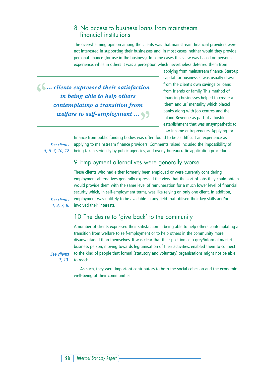### 8 No access to business loans from mainstream financial institutions

The overwhelming opinion among the clients was that mainstream financial providers were not interested in supporting their businesses and, in most cases, neither would they provide personal finance (for use in the business). In some cases this view was based on personal experience, while in others it was a perception which nevertheless deterred them from

 $\left\{\right\}$  *... clients expressed their satisfaction in being able to help others contemplating a transition from welfare to self-employment … "*

applying from mainstream finance. Start-up capital for businesses was usually drawn from the client's own savings or loans from friends or family. This method of financing businesses helped to create a 'them and us' mentality which placed banks along with job centres and the Inland Revenue as part of a hostile establishment that was unsympathetic to low-income entrepreneurs. Applying for

See clients 5, 6, 7, 10, 12

finance from public funding bodies was often found to be as difficult an experience as applying to mainstream finance providers. Comments raised included the impossibility of being taken seriously by public agencies, and overly-bureaucratic application procedures.

### 9 Employment alternatives were generally worse

These clients who had either formerly been employed or were currently considering employment alternatives generally expressed the view that the sort of jobs they could obtain would provide them with the same level of remuneration for a much lower level of financial security which, in self-employment terms, was like relying on only one client. In addition, employment was unlikely to be available in any field that utilised their key skills and/or involved their interests.

See clients 1, 3, 7, 8.

### 10 The desire to 'give back' to the community

A number of clients expressed their satisfaction in being able to help others contemplating a transition from welfare to self-employment or to help others in the community more disadvantaged than themselves. It was clear that their position as a grey/informal market business person, moving towards legitimisation of their activities, enabled them to connect to the kind of people that formal (statutory and voluntary) organisations might not be able to reach.

See clients 7, 13.

> As such, they were important contributors to both the social cohesion and the economic well-being of their communities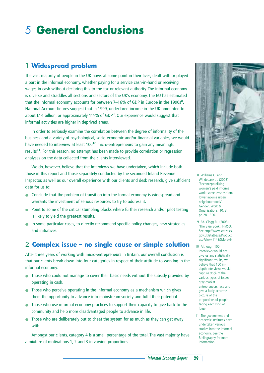# 5 **General Conclusions**

### 1 **Widespread problem**

The vast majority of people in the UK have, at some point in their lives, dealt with or played a part in the informal economy, whether paying for a service cash-in-hand or receiving wages in cash without declaring this to the tax or relevant authority. The informal economy is diverse and straddles all sections and sectors of the UK's economy. The EU has estimated that the informal economy accounts for between  $7-16\%$  of GDP in Europe in the 1990s $^8$ . National Account figures suggest that in 1999, undeclared income in the UK amounted to about £14 billion, or approximately 1<sup>1</sup>/2% of GDP<sup>9</sup>. Our experience would suggest that informal activities are higher in deprived areas.

In order to seriously examine the correlation between the degree of informality of the business and a variety of psychological, socio-economic and/or financial variables, we would have needed to interview at least 100<sup>10</sup> micro-entrepreneurs to gain any meaningful results<sup>11</sup>. For this reason, no attempt has been made to provide correlation or regression analyses on the data collected from the clients interviewed.

We do, however, believe that the interviews we have undertaken, which include both those in this report and those separately conducted by the seconded Inland Revenue Inspector, as well as our overall experience with our clients and desk research, give sufficient data for us to:

- Conclude that the problem of transition into the formal economy is widespread and warrants the investment of serious resources to try to address it.
- Point to some of the critical stumbling blocks where further research and/or pilot testing is likely to yield the greatest results.
- In some particular cases, to directly recommend specific policy changes, new strategies and initiatives.

### 2 **Complex issue – no single cause or simple solution**

After three years of working with micro-entrepreneurs in Britain, our overall conclusion is that our clients break down into four categories in respect of their attitude to working in the informal economy:

- Those who could not manage to cover their basic needs without the subsidy provided by operating in cash.
- Those who perceive operating in the informal economy as a mechanism which gives them the opportunity to advance into mainstream society and fulfil their potential.
- Those who use informal economy practices to support their capacity to give back to the community and help more disadvantaged people to advance in life.
- Those who are deliberately out to cheat the system for as much as they can get away with.

Amongst our clients, category 4 is a small percentage of the total. The vast majority have a mixture of motivations 1, 2 and 3 in varying proportions.



8 Williams C. and Windebank J., (2003) 'Reconceptualising women's paid informal work; some lessons from lower income urban neighbourhoods', Gender, Work & Organisations, 10, 3, pp.281-300.

9 Ed. Clegg R., (2003) 'The Blue Book', HMSO. See http://www.statistics. gov.uk/statbase/Product. asp?vlnk=1143&More=N

10 Although 100 interviews would not give us any statistically significant results, we believe that 100 indepth interviews would capture 95% of the various types of issues grey-market entrepreneurs face and give a fairly accurate picture of the proportions of people facing each kind of issue.

11 The government and academic institutes have undertaken various studies into the informal economy. See the Bibliography for more information.

*Informal Economy Report* **29**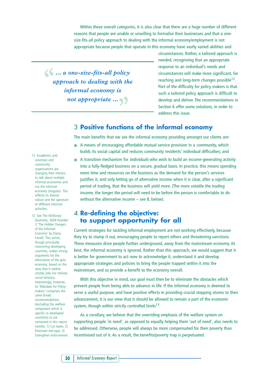Within these overall categories, it is also clear that there are a huge number of different reasons that people are unable or unwilling to formalise their businesses and that a onesize-fits-all policy approach to dealing with the informal economy/employment is not appropriate because people that operate in this economy have vastly varied abilities and

 $\left( \right)$   $\ldots$  *a* one-size-fits-all policy *approach to dealing with the informal economy is not appropriate … "*

circumstances. Rather, a tailored approach is needed, recognising that an appropriate response to an individual's needs and circumstances will make more significant, far reaching and long-term changes possible<sup>12</sup>. Part of the difficulty for policy makers is that such a tailored policy approach is difficult to develop and deliver. The recommendations in Section 6 offer some solutions, in order to address this issue.

### 3 **Positive functions of the informal economy**

The main benefits that we see the informal economy providing amongst our clients are:

- A means of encouraging affordable mutual service provision in a *community*, which builds its social capital and reduces community residents' individual difficulties; and
- A transition mechanism for *individuals* who wish to build an income-generating activity into a fully-fledged business on a secure, gradual basis. In practice, this means spending more time and resources on the business as the demand for the person's services justifies it, and only letting go of alternative income when it is clear, after a significant period of trading, that the business will yield more. (The more volatile the trading income, the longer the period will need to be before the person is comfortable to do without the alternative income – see 8, below).

### 4 **Re-defining the objective: to support opportunity for all**

Current strategies for tackling informal employment are not working effectively, because they try to stamp it out, encouraging people to report others and threatening sanctions. These measures drive people further underground, away from the mainstream economy. At best, the informal economy is ignored. Rather than this approach, we would suggest that it is better for government to act now to acknowledge it, understand it and develop appropriate strategies and policies to bring the people trapped within it into the mainstream, and so provide a benefit to the economy overall.

With this objective in mind, our goal must then be to eliminate the obstacles which prevent people from being able to advance in life. If the informal economy is deemed to serve a useful purpose, and have positive effects in providing crucial stepping stones to their advancement, it is our view that it should be allowed to remain a part of the economic system, though within strictly controlled limits<sup>13</sup>.

As a corollary, we believe that the overriding emphasis of the welfare system on supporting people 'in need', as opposed to equally helping them 'out of need', also needs to be addressed. Otherwise, people will always be more compensated for their poverty than incentivised out of it. As a result, the benefits/poverty trap is perpetuated.

12 Academics and voluntary and community organisations are changing their rhetoric to talk about multiple informal economies and not the informal economy (singular). This reflects its diverse nature and the spectrum of different informal activities.

13 See The McKinsey Quarterly, 2004 Number 3 'The Hidden Dangers of the Informal Economy' by Diana Farrell. This article, though principally concerning developing countries, makes strong arguments for the elimination of the grey economy, based on the view that it neither creates jobs nor relieves social tensions. Interestingly, however, its 'Mandate for Policymakers' comprises the same broad recommendations (excluding the welfare component which is specific to developed countries) as are contained in this report, namely: 1) Cut taxes; 2) Eliminate red-tape; 3) Strengthen enforcement.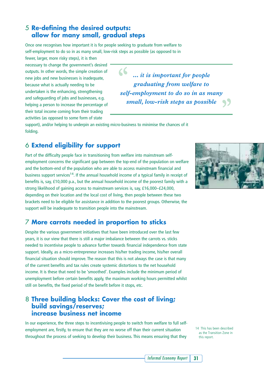### 5 **Re-defining the desired outputs: allow for many small, gradual steps**

Once one recognises how important it is for people seeking to graduate from welfare to self-employment to do so in as many small, low-risk steps as possible (as opposed to in

fewer, larger, more risky steps), it is then necessary to change the government's desired outputs. In other words, the simple creation of new jobs and new businesses is inadequate, because what is actually needing to be undertaken is the enhancing, strengthening and safeguarding of jobs and businesses, e.g. helping a person to increase the percentage of their total income coming from their trading activities (as opposed to some form of state

*… it is important for people "graduating from welfare to self-employment to do so in as many small, low-risk steps as possible "*

support), and/or helping to underpin an existing micro-business to minimise the chances of it folding.

### 6 **Extend eligibility for support**

Part of the difficulty people face in transitioning from welfare into mainstream selfemployment concerns the significant gap between the top-end of the population on welfare and the bottom-end of the population who are able to access mainstream financial and business support services<sup>14</sup>. If the annual household income of a typical family in receipt of benefits is, say, £10,000 p.a., but the annual household income of the poorest family with a strong likelihood of gaining access to mainstream services is, say, £16,000–£24,000, depending on their location and the local cost of living, then people between these two brackets need to be eligible for assistance in addition to the poorest groups. Otherwise, the support will be inadequate to transition people into the mainstream.

### 7 **More carrots needed in proportion to sticks**

Despite the various government initiatives that have been introduced over the last few years, it is our view that there is still a major imbalance between the carrots vs. sticks needed to incentivise people to advance further towards financial independence from state support. Ideally, as a micro-entrepreneur increases his/her trading income, his/her overall financial situation should improve. The reason that this is not always the case is that many of the current benefits and tax rules create systemic distortions to the net household income. It is these that need to be 'smoothed'. Examples include the minimum period of unemployment before certain benefits apply, the maximum working hours permitted whilst still on benefits, the fixed period of the benefit before it stops, etc.

### 8 **Three building blocks: Cover the cost of living; build savings/reserves; increase business net income**

In our experience, the three steps to incentivising people to switch from welfare to full selfemployment are, firstly, to ensure that they are no worse off than their current situation throughout the process of seeking to develop their business. This means ensuring that they



14 This has been described as the Transition Zone in this report.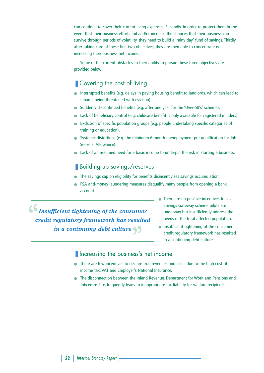can continue to cover their current living expenses. Secondly, in order to protect them in the event that their business efforts fail and/or increase the chances that their business can survive through periods of volatility, they need to build a 'rainy day' fund of savings. Thirdly, after taking care of these first two objectives, they are then able to concentrate on increasing their business net income.

Some of the current obstacles to their ability to pursue these three objectives are provided below:

### ■ Covering the cost of living

- Interrupted benefits (e.g. delays in paying housing benefit to landlords, which can lead to tenants being threatened with eviction).
- Suddenly discontinued benefits (e.g. after one year for the 'Over-50's' scheme).
- Lack of beneficiary control (e.g. childcare benefit is only available for registered minders).
- Exclusion of specific population groups (e.g. people undertaking specific categories of training or education).
- Systemic distortions (e.g. the minimum 6 month unemployment pre-qualification for Job Seekers' Allowance).
- Lack of an assumed need for a basic income to underpin the risk in starting a business.

### ■ Building up savings/reserves

- The savings cap on eligibility for benefits disincentivises savings accumulation.
- FSA anti-money laundering measures disqualify many people from opening a bank account.

 $\bigcup_{i=1}^{\infty} I_n$  *Insufficient tightening of the consumer credit regulatory framework has resulted in a continuing debt culture "*

- There are no positive incentives to save. Savings Gateway scheme pilots are underway but insufficiently address the needs of the total affected population.
- Insufficient tightening of the consumer credit regulatory framework has resulted in a continuing debt culture.
- Increasing the business's net income
- There are few incentives to declare true revenues and costs due to the high cost of income tax, VAT and Employer's National Insurance.
- The disconnection between the Inland Revenue, Department for Work and Pensions and Jobcentre Plus frequently leads to inappropriate tax liability for welfare recipients.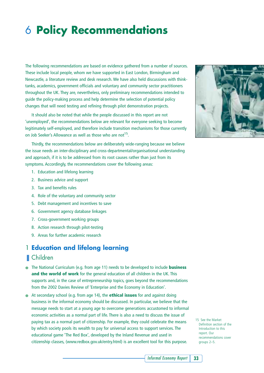# 6 **Policy Recommendations**

The following recommendations are based on evidence gathered from a number of sources. These include local people, whom we have supported in East London, Birmingham and Newcastle, a literature review and desk research. We have also held discussions with thinktanks, academics, government officials and voluntary and community sector practitioners throughout the UK. They are, nevertheless, only preliminary recommendations intended to guide the policy-making process and help determine the selection of potential policy changes that will need testing and refining through pilot demonstration projects.

It should also be noted that while the people discussed in this report are not 'unemployed', the recommendations below are relevant for everyone seeking to become legitimately self-employed, and therefore include transition mechanisms for those currently on Job Seeker's Allowance as well as those who are not<sup>15</sup>.

Thirdly, the recommendations below are deliberately wide-ranging because we believe the issue needs an inter-disciplinary and cross-departmental/organisational understanding and approach, if it is to be addressed from its root causes rather than just from its symptoms. Accordingly, the recommendations cover the following areas:

- 1. Education and lifelong learning
- 2. Business advice and support
- 3. Tax and benefits rules
- 4. Role of the voluntary and community sector
- 5. Debt management and incentives to save
- 6. Government agency database linkages
- 7. Cross-government working groups
- 8. Action research through pilot-testing
- 9. Areas for further academic research

### 1 **Education and lifelong learning**

### ■ Children

- The National Curriculum (e.g. from age 11) needs to be developed to include **business and the world of work** for the general education of all children in the UK. This supports and, in the case of entrepreneurship topics, goes beyond the recommendations from the 2002 Davies Review of 'Enterprise and the Economy in Education'.
- At secondary school (e.g. from age 14), the **ethical issues** for and against doing business in the informal economy should be discussed. In particular, we believe that the message needs to start at a young age to overcome generations accustomed to informal economic activities as a normal part of life. There is also a need to discuss the issue of paying tax as a normal part of citizenship. For example, they could celebrate the means by which society pools its wealth to pay for universal access to support services. The educational game 'The Red Box', developed by the Inland Revenue and used in citizenship classes, (www.redbox.gov.uk/entry.html) is an excellent tool for this purpose.



15 See the Market Definition section of the Introduction to this report. Our recommendations cover groups 2–5.

*Informal Economy Report* **33**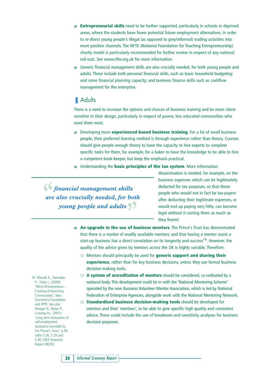- **Entrepreneurial skills** need to be further supported, particularly in schools in deprived areas, where the students have fewer potential future employment alternatives, in order to re-direct young people's illegal (as opposed to grey/informal) trading activities into more positive channels. The NFTE (National Foundation for Teaching Entrepreneurship) charity model is particularly recommended for further review in respect of any national roll-out). See www.nfte.org.uk for more information.
- Generic financial management skills are also crucially needed, for both young people and adults. These include both personal financial skills, such as basic household budgeting and some financial planning capacity; and business finance skills such as cashflow management for the enterprise.

### ■ Adults

There is a need to increase the options and choices of business training and be more clientsensitive in their design, particularly in respect of poorer, less educated communities who need them most.

- Developing more **experienced-based business training**. For a lot of small business people, their preferred learning method is through experience rather than theory. Courses should give people enough theory to have the capacity to hire experts to complete specific tasks for them, for example, for a baker to have the knowledge to be able to hire a competent book-keeper, but keep the emphasis practical.
- Understanding the **basic principles of the tax system**. More information

*financial management skills "are also crucially needed, for both young people and adults*  $\sqrt{ }$ 

dissemination is needed, for example, on the business expenses which can be legitimately deducted for tax purposes, so that those people who would not in fact be tax-payers after deducting their legitimate expenses, or would end up paying very little, can become legal without it costing them as much as they feared.

- **An upgrade in the use of business mentors**. The Prince's Trust has demonstrated that there is a market of readily available mentors; and that having a mentor assist a start-up business has a direct correlation on its longevity and success<sup>16</sup>. However, the quality of the advice given by mentors across the UK is highly variable. Therefore:
	- ❍ Mentors should principally be used for **generic support and sharing their experience**, rather than for key business decisions, unless they use formal business decision-making tools.
	- ❍ **A system of accreditation of mentors** should be considered, co-ordinated by a national body. This development could tie in with the 'National Mentoring Scheme' operated by the new Business Volunteer Mentor Association, which is led by National Federation of Enterprise Agencies, alongside work with the National Mentoring Network.
	- ❍ **Standardised business decision-making tools** should be developed for mentors and their `mentees', to be able to give specific high quality and consistent advice. These could include the use of breakeven and sensitivity analyses for business decision purposes.

16 Westall A., Ramsden P., Foley J., (2000) 'Micro-Entrepreneurs – Creating Enterprising Communities', New Economics Foundation and IPPR. See also Meager N., Bates P., Cowling M., (2001) 'Long-term evaluation of self-employment assistance provided by the Prince's Trust', p.49, table 5.26, 5.29 and 5.30, DfES Research Report RR292.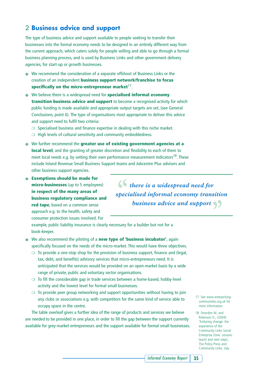### 2 **Business advice and support**

The type of business advice and support available to people seeking to transfer their businesses into the formal economy needs to be designed in an entirely different way from the current approach, which caters solely for people willing and able to go through a formal business planning process, and is used by Business Links and other government delivery agencies, for start-up or growth businesses.

- We recommend the consideration of a separate offshoot of Business Links or the creation of an independent **business support network/franchise to focus** specifically on the micro-entrepreneur market<sup>17</sup>.
- We believe there is a widespread need for **specialised informal economy transition business advice and support** to become a recognised activity for which public funding is made available and appropriate output targets are set, (see General Conclusions, point 6). The type of organisations most appropriate to deliver this advice and support need to fulfil two criteria:
	- ❍ Specialised business and finance expertise in dealing with this niche market.
	- ❍ High levels of cultural sensitivity and community embeddedness.
- We further recommend the **greater use of existing government agencies at a local level**, and the granting of greater discretion and flexibility to each of them to meet local needs e.g. by setting their own performance measurement indicators<sup>18</sup>. These include Inland Revenue Small Business Support teams and Jobcentre Plus advisers and other business support agencies.
- **Exemptions should be made for micro-businesses** (up to 5 employees) **in respect of the many areas of business regulatory compliance and red tape**, based on a common sense approach e.g. to the health, safety and consumer protection issues involved. For

 $\left( \int f(x) \right)$  *there is a widespread need for specialised informal economy transition business advice and support*  $\left\{ \right\}$ 

example, public liability insurance is clearly necessary for a builder but not for a book-keeper.

- We also recommend the piloting of a **new type of 'business incubator'**, again specifically focused on the needs of the micro-market. This would have three objectives.
	- $\circ$  To provide a one-stop shop for the provision of business support, finance and (legal, tax, debt, and benefits) advisory services that micro-entrepreneurs need. It is anticipated that the services would be provided on an open-market basis by a wide range of private, public and voluntary sector organisations.
	- ❍ To fill the considerable gap in trade services between a home-based, hobby-level activity and the lowest level for formal small businesses.
	- $\circ$  To provide peer group networking and support opportunities without having to join any clubs or associations e.g. with competitors for the same kind of service able to occupy space in the centre.

The table overleaf gives a further idea of the range of products and services we believe are needed to be provided in one place, in order to fill the gap between the support currently available for grey-market entrepreneurs and the support available for formal small businesses.

- 17 See www.enterprisingcommunities.org.uk for more information.
- 18 Smerdon M. and Robinson D., (2004) 'Enduring change: the experience of the Community Links Social Enterprise Zone. Lessons learnt and next steps', The Policy Press and Community Links, July.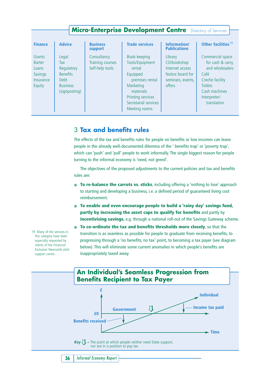| <b>Micro-Enterprise Development Centre</b> Directory of Services   |                                                                                            |                                                    |                                                                                                                                                                  |                                                                                              |                                                                                                                                                       |  |  |  |
|--------------------------------------------------------------------|--------------------------------------------------------------------------------------------|----------------------------------------------------|------------------------------------------------------------------------------------------------------------------------------------------------------------------|----------------------------------------------------------------------------------------------|-------------------------------------------------------------------------------------------------------------------------------------------------------|--|--|--|
|                                                                    |                                                                                            |                                                    |                                                                                                                                                                  |                                                                                              |                                                                                                                                                       |  |  |  |
| <b>Finance</b>                                                     | <b>Advice</b>                                                                              | <b>Business</b><br>support                         | <b>Trade services</b>                                                                                                                                            | Information/<br><b>Publications</b>                                                          | Other facilities <sup>19</sup>                                                                                                                        |  |  |  |
| Grants<br><b>Barter</b><br>Loans<br>Savings<br>Insurance<br>Equity | Legal<br>Tax<br>Regulatory<br><b>Benefits</b><br>Debt.<br><b>Business</b><br>(signposting) | Consultancy<br>Training courses<br>Self-help tools | Book-keeping<br>Tools/Equipment<br>rental<br>Equipped<br>premises rental<br>Marketing<br>materials<br>Printing services<br>Secretarial services<br>Meeting rooms | Library<br>CD/bookshop<br>Internet access<br>Notice board for<br>seminars, events,<br>offers | Commercial space<br>for cash & carry,<br>and wholesalers<br>Café<br>Creche facility<br><b>Toilets</b><br>Cash machines<br>Interpreter/<br>translation |  |  |  |

### 3 **Tax and benefits rules**

The effects of the tax and benefits rules for people on benefits or low incomes can leave people in the already well-documented dilemma of the ' benefits trap' or 'poverty trap', which can 'push' and 'pull' people to work informally. The single biggest reason for people turning to the informal economy is 'need, not greed'.

The objectives of the proposed adjustments to the current policies and tax and benefits rules are:

- **To re-balance the carrots vs. sticks**, including offering a 'nothing to lose' approach to starting and developing a business, i.e. a defined period of guaranteed living cost reimbursement.
- **To enable and even encourage people to build a 'rainy day' savings fund, partly by increasing the asset caps to qualify for benefits** and partly by **incentivising savings**, e.g. through a national roll-out of the Savings Gateway scheme.
- **To co-ordinate the tax and benefits thresholds more closely**, so that the transition is as seamless as possible for people to graduate from receiving benefits, to progressing through a 'no benefits, no tax' point, to becoming a tax payer (see diagram below). This will eliminate some current anomalies in which people's benefits are inappropriately taxed away.



19 Many of the services in this category have been especially requested by clients of the Financial Exclusion Newcastle pilot support centre.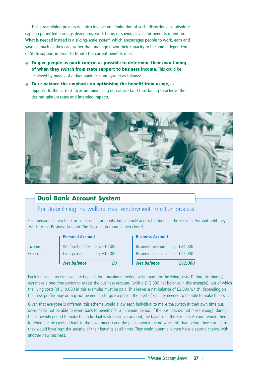This streamlining process will also involve an elimination of such 'distortions' as absolute caps on permitted earnings disregards, work hours or savings levels for benefits retention. What is needed instead is a sliding-scale system which encourages people to work, earn and save as much as they can, rather than manage down their capacity to become independent of State support in order to fit into the current benefits rules.

- **To give people as much control as possible to determine their own timing of when they switch from state support to business income**. This could be achieved by means of a dual bank account system as follows:
- **To re-balance the emphasis on optimising the benefit from usage**, as opposed to the current focus on minimising non-abuse (and thus failing to achieve the desired take-up rates and intended impact).



### **Dual Bank Account System**

For streamlining the welfare-to-self-employment transition process

Each person has two bank or credit union accounts, but can only access the funds in the Personal Account until they switch to the Business Account: The Personal Account is then closed.

|                 | <b>Personal Account</b>       |                | <b>Business Account</b>        |              |
|-----------------|-------------------------------|----------------|--------------------------------|--------------|
| Income          | Welfare benefits e.g. £10,000 |                | Business revenue               | e.g. £24,000 |
| <b>Expenses</b> | Living costs                  | e.g. $£10,000$ | Business expenses e.g. £12,000 |              |
|                 | <b>Net balance</b>            | ғn             | <b>Net Balance</b>             | £12,000      |

Each individual receives welfare benefits for a maximum period, which pays for the living costs. During this time (s)he can make a one-time switch to access the business account, (with a £12,000 net balance in this example), out of which the living costs (of £10,000 in this example) must be paid. This leaves a net balance of £2,000 which, depending on their risk profile, may or may not be enough to give a person the level of security needed to be able to make the switch.

Given that everyone is different, this scheme would allow each individual to make the switch in their own time but, once made, not be able to revert back to benefits for a minimum period. If the business did not make enough during the allowable period to make the individual wish to switch account, the balance in the Business Account would then be forfeited (i.e. be credited back to the government) and the person would be no worse off than before they started, as they would have kept the security of their benefits at all times. They could potentially then have a second chance with another new business.

*Informal Economy Report* **37**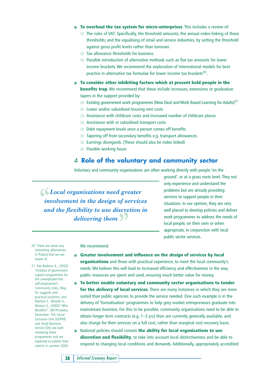- **To overhaul the tax system for micro-enterprises**. This includes a review of:
	- $\circ$  The rules of VAT: Specifically, the threshold amounts; the annual index-linking of these thresholds; and the equalising of retail and service industries, by setting the threshold against gross profit levels rather than turnover.
	- ❍ Tax allowance thresholds for business.
	- $\circ$  Possible introduction of alternative methods such as flat tax amounts for lower income brackets. We recommend the exploration of international models for best practice in alternative tax formulae for lower income tax brackets<sup>20</sup>.
- **To consider other inhibiting factors which at present hold people in the benefits trap**. We recommend that these include increases, extensions or graduation tapers in the support provided by:
	- $\circ$  Existing government work programmes (New Deal and Work Based Learning for Adults)<sup>21</sup>
	- ❍ Lower and/or subsidised housing rent costs
	- ❍ Assistance with childcare costs and increased number of childcare places
	- ❍ Assistance with or subsidised transport costs
	- ❍ Debt repayment levels once a person comes off benefits
	- ❍ Tapering off from secondary benefits e.g. transport allowances
	- $\circ$  Earnings disregards. (These should also be index linked)
	- ❍ Flexible working hours

#### 4 **Role of the voluntary and community sector**

Voluntary and community organisations are often working directly with people 'on the

 $\bigcup$  *Local organisations need greater involvement in the design of services and the flexibility to use discretion in* delivering them  $\frac{1}{2}$ 

ground', or at a grass roots level. They not only experience and understand the problems but are already providing services to support people in their situations. In our opinion, they are very well placed to develop policies and deliver work programmes to address the needs of local people, on their own or when appropriate, in conjunction with local public sector services.

20 There are some very interesting alternatives in Poland that we are aware of.

21 See Barbour A., (2003) 'Analysis of government support programmes for the unemployed into self-employment', Community Links, May, for suggests and practical solutions; and Marlow S., Westall A., Watson E., (2003) 'Who Benefits?', NEF/Prowess, November. The Social Exclusion Unit (ODPM) and Small Business Service (Dti) are both reviewing these programmes and are expected to publish their reports in summer 2004.

#### We recommend:

- **Greater involvement and influence on the design of services by local organisations** and those with practical experience, to meet the local community's needs. We believe this will lead to increased efficiency and effectiveness in the way public resources are spent and used, ensuring much better value for money.
- **To better enable voluntary and community sector organisations to tender for the** *delivery* **of local services**. There are many instances in which they are more suited than public agencies to provide the service needed. One such example is in the delivery of 'formalisation' programmes to help grey market entrepreneurs graduate into mainstream business. For this to be possible, community organisations need to be able to obtain longer term contracts (e.g. 1–3 yrs) than are currently generally available, and also charge for their services on a full cost, rather than marginal cost recovery basis.
- National policies should contain **the ability for local organisations to use discretion and flexibility**, to take into account local distinctiveness and be able to respond to changing local conditions and demands. Additionally, appropriately accredited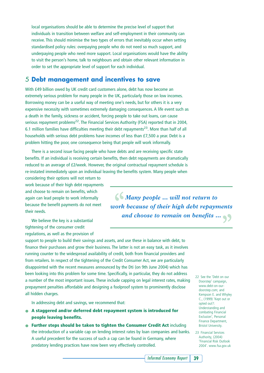local organisations should be able to determine the precise level of support that individuals in transition between welfare and self-employment in their community can receive. This should minimise the two types of errors that inevitably occur when setting standardised policy rules: overpaying people who do not need so much support, and underpaying people who need more support. Local organisations would have the ability to visit the person's home, talk to neighbours and obtain other relevant information in order to set the appropriate level of support for each individual.

### 5 **Debt management and incentives to save**

With £49 billion owed by UK credit card customers alone, debt has now become an extremely serious problem for many people in the UK, particularly those on low incomes. Borrowing money can be a useful way of meeting one's needs, but for others it is a very expensive necessity with sometimes extremely damaging consequences. A life event such as a death in the family, sickness or accident, forcing people to take out loans, can cause serious repayment problems<sup>22</sup>. The Financial Services Authority (FSA) reported that in 2004, 6.1 million families have difficulties meeting their debt repayments<sup>23</sup>. More than half of all households with serious debt problems have incomes of less than £7,500 a year. Debt is a problem hitting the poor, one consequence being that people will work informally.

There is a second issue facing people who have debts and are receiving specific state benefits. If an individual is receiving certain benefits, then debt repayments are dramatically reduced to an average of £2/week. However, the original contractual repayment schedule is re-instated immediately upon an individual leaving the benefits system. Many people when

considering their options will not return to work because of their high debt repayments and choose to remain on benefits, which again can lead people to work informally because the benefit payments do not meet their needs.

We believe the key is a substantial tightening of the consumer credit regulations, as well as the provision of

*Many people … will not return to "work because of their high debt repayments and choose to remain on benefits … "*

support to people to build their savings and assets, and use these in balance with debt, to finance their purchases and grow their business. The latter is not an easy task, as it involves running counter to the widespread availability of credit, both from financial providers and from retailers. In respect of the tightening of the Credit Consumer Act, we are particularly disappointed with the recent measures announced by the Dti (on 9th June 2004) which has been looking into this problem for some time. Specifically, in particular, they do not address a number of the most important issues. These include capping on legal interest rates, making prepayment penalties affordable and designing a foolproof system to prominently disclose all hidden charges.

In addressing debt and savings, we recommend that:

- **A staggered and/or deferred debt repayment system is introduced for people leaving benefits.**
- **Further steps should be taken to tighten the Consumer Credit Act** including the introduction of a variable cap on lending interest rates by loan companies and banks. A useful precedent for the success of such a cap can be found in Germany, where predatory lending practices have now been very effectively controlled.
- 22 See the 'Debt on our Doorstep' campaign, www.debt-on-ourdoorstep.com; and Kempson E. and Whyley C., (1999) 'Kept out or opted out?: Understanding and combating Financial Exclusion', Personal Finance Department, Bristol University.
- 23 Financial Services Authority, (2004) 'Financial Risk Outlook 2004'. www.fsa.gov.uk

*Informal Economy Report* **39**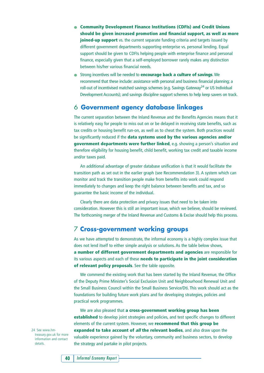- **Community Development Finance Institutions (CDFIs) and Credit Unions should be given increased promotion and financial support, as well as more joined-up support** vs. the current separate funding criteria and targets issued by different government departments supporting enterprise vs. personal lending. Equal support should be given to CDFIs helping people with enterprise finance and personal finance, especially given that a self-employed borrower rarely makes any distinction between his/her various financial needs.
- Strong incentives will be needed to **encourage back a culture of savings**. We recommend that these include: assistance with personal and business financial planning; a roll-out of incentivised matched savings schemes (e.g. Savings Gateway<sup>24</sup> or US Individual Development Accounts); and savings discipline support schemes to help keep savers on track.

### 6 **Government agency database linkages**

The current separation between the Inland Revenue and the Benefits Agencies means that it is relatively easy for people to miss out on or be delayed in receiving state benefits, such as tax credits or housing benefit run-on, as well as to cheat the system. Both practices would be significantly reduced if the **data systems used by the various agencies and/or government departments were further linked**, e.g. showing a person's situation and therefore eligibility for housing benefit, child benefit, working tax credit and taxable income and/or taxes paid.

An additional advantage of greater database unification is that it would facilitate the transition path as set out in the earlier graph (see Recommendation 3). A system which can monitor and track the transition people make from benefits into work could respond immediately to changes and keep the right balance between benefits and tax, and so guarantee the basic income of the individual.

Clearly there are data protection and privacy issues that need to be taken into consideration. However this is still an important issue, which we believe, should be reviewed. The forthcoming merger of the Inland Revenue and Customs & Excise should help this process.

### 7 **Cross-government working groups**

As we have attempted to demonstrate, the informal economy is a highly complex issue that does not lend itself to either simple analysis or solutions. As the table below shows, **a number of different government departments and agencies** are responsible for its various aspects and each of these **needs to participate in the joint consideration of relevant policy proposals**. See the table opposite.

We commend the existing work that has been started by the Inland Revenue, the Office of the Deputy Prime Minister's Social Exclusion Unit and Neighbourhood Renewal Unit and the Small Business Council within the Small Business Service/Dti. This work should act as the foundations for building future work plans and for developing strategies, policies and practical work programmes.

We are also pleased that **a cross-government working group has been established** to develop joint strategies and policies, and test specific changes to different elements of the current system. However, we **recommend that this group be expanded to take account of all the relevant bodies**, and also draw upon the valuable experience gained by the voluntary, community and business sectors, to develop the strategy and partake in pilot projects.

24 See www.hmtreasury.gov.uk for more information and contact details.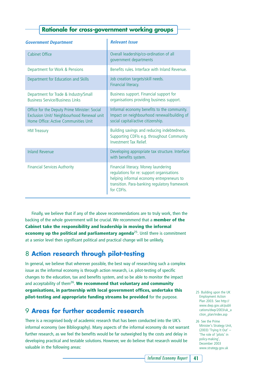### **Rationale for cross-government working groups**

| <b>Government Department</b>                                                                                                       | <b>Relevant Issue</b>                                                                                                                                                                         |
|------------------------------------------------------------------------------------------------------------------------------------|-----------------------------------------------------------------------------------------------------------------------------------------------------------------------------------------------|
| <b>Cabinet Office</b>                                                                                                              | Overall leadership/co-ordination of all<br>government departments                                                                                                                             |
| Department for Work & Pensions                                                                                                     | Benefits rules, Interface with Inland Revenue.                                                                                                                                                |
| Department for Education and Skills                                                                                                | Job creation targets/skill needs.<br>Financial literacy.                                                                                                                                      |
| Department for Trade & Industry/Small<br><b>Business Service/Business Links</b>                                                    | Business support. Financial support for<br>organisations providing business support.                                                                                                          |
| Office for the Deputy Prime Minister: Social<br>Exclusion Unit/ Neighbourhood Renewal unit<br>Home Office: Active Communities Unit | Informal economy benefits to the community.<br>Impact on neighbourhood renewal/building of<br>social capital/active citizenship.                                                              |
| <b>HM Treasury</b>                                                                                                                 | Building savings and reducing indebtedness.<br>Supporting CDFIs e.g. throughout Community<br><b>Investment Tax Relief.</b>                                                                    |
| <b>Inland Revenue</b>                                                                                                              | Developing appropriate tax structure. Interface<br>with benefits system.                                                                                                                      |
| <b>Financial Services Authority</b>                                                                                                | Financial literacy. Money laundering<br>regulations for re: support organisations<br>helping informal economy entrepreneurs to<br>transition. Para-banking regulatory framework<br>for CDFIs. |

Finally, we believe that if any of the above recommendations are to truly work, then the backing of the whole government will be crucial. We recommend that a **member of the Cabinet take the responsibility and leadership in moving the informal economy up the political and parliamentary agenda<sup>25</sup>. Until there is commitment** at a senior level then significant political and practical change will be unlikely.

### 8 **Action research through pilot-testing**

In general, we believe that wherever possible, the best way of researching such a complex issue as the informal economy is through action research, i.e. pilot-testing of specific changes to the education, tax and benefits system, and so be able to monitor the impact and acceptability of them<sup>26</sup>. We recommend that voluntary and community **organisations, in partnership with local government offices, undertake this pilot-testing and appropriate funding streams be provided** for the purpose.

### 9 **Areas for further academic research**

There is a recognised body of academic research that has been conducted into the UK's informal economy (see Bibliography). Many aspects of the informal economy do not warrant further research, as we feel the benefits would be far outweighed by the costs and delay in developing practical and testable solutions. However, we do believe that research would be valuable in the following areas:

- 25 Building upon the UK Employment Action Plan 2003. See http:// www.dwp.gov.uk/publi cations/dwp/2003/uk\_a ction\_plan/index.asp
- 26 See the Prime Minister's Strategy Unit, (2003) 'Trying It Out' – 'The role of 'pilots' in policy-making', December 2003 www.strategy.gov.uk

*Informal Economy Report* **41**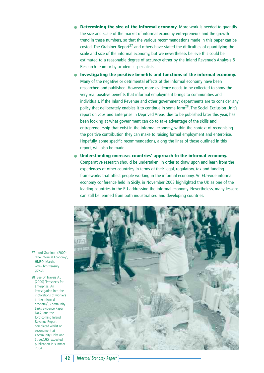- **Determining the size of the informal economy.** More work is needed to quantify the size and scale of the market of informal economy entrepreneurs and the growth trend in these numbers, so that the various recommendations made in this paper can be costed. The Grabiner Report<sup>27</sup> and others have stated the difficulties of quantifying the scale and size of the informal economy, but we nevertheless believe this could be estimated to a reasonable degree of accuracy either by the Inland Revenue's Analysis & Research team or by academic specialists.
- **Investigating the positive benefits and functions of the informal economy.** Many of the negative or detrimental effects of the informal economy have been researched and published. However, more evidence needs to be collected to show the very real positive benefits that informal employment brings to communities and individuals, if the Inland Revenue and other government departments are to consider any policy that deliberately enables it to continue in some form<sup>28</sup>. The Social Exclusion Unit's report on Jobs and Enterprise in Deprived Areas, due to be published later this year, has been looking at what government can do to take advantage of the skills and entrepreneurship that exist in the informal economy, within the context of recognising the positive contribution they can make to raising formal employment and enterprise. Hopefully, some specific recommendations, along the lines of those outlined in this report, will also be made.
- Understanding overseas countries' approach to the informal economy. Comparative research should be undertaken, in order to draw upon and learn from the experiences of other countries, in terms of their legal, regulatory, tax and funding frameworks that affect people working in the informal economy. An EU-wide informal economy conference held in Sicily, in November 2003 highlighted the UK as one of the leading countries in the EU addressing the informal economy. Nevertheless, many lessons can still be learned from both industrialised and developing countries.



27 Lord Grabiner, (2000) 'The Informal Economy', HMSO, March. www.hm-treasury. gov.uk

28 See Dr Travers A., (2000) 'Prospects for Enterprise An investigation into the motivations of workers in the informal economy', Community Links Evidence Paper No.2; and the forthcoming Inland Revenue Report completed whilst on secondment at Community Links and Street(UK), expected publication in summer 2004.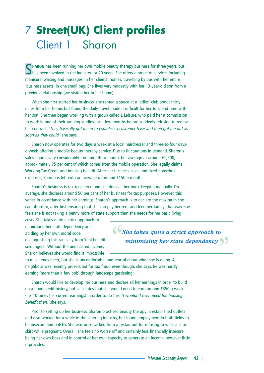# 7 **Street(UK) Client profiles** Client 1 Sharon

**C** HARON has been running her own mobile beauty therapy business for three years, but  $\Box$  has been involved in the industry for 20 years. She offers a range of services including manicure, waxing and massages, in her clients' homes, travelling by bus with her entire 'business assets' in one small bag. She lives very modestly with her 13-year-old son from a previous relationship (we visited her in her home).

When she first started her business, she rented a space at a ladies' club about thirty miles from her home, but found the daily travel made it difficult for her to spend time with her son. She then began working with a group called L Leisure, who paid her a commission to work in one of their tanning studios for a few months before suddenly refusing to renew her contract. 'They basically got me in to establish a customer base and then got me out as soon as they could,' she says.

Sharon now operates for two days a week at a local hairdresser and three-to-four daysa-week offering a mobile beauty therapy service. Due to fluctuations in demand, Sharon's sales figures vary considerably from month to month, but average at around £1,500, approximately 75 per cent of which comes from the mobile operation. She legally claims Working Tax Credit and housing benefit. After her business costs and fixed household expenses, Sharon is left with an average of around £150 a month.

Sharon's business is tax-registered and she does all her book-keeping manually. On average, she declares around 50 per cent of her business for tax purposes. However, this varies in accordance with her earnings. Sharon's approach is to declare the maximum she can afford to, after first ensuring that she can pay her rent and feed her family. That way, she feels she is not taking a penny more of state support than she needs for her basic living

costs. She takes quite a strict approach to minimising her state dependency and abiding by her own moral code, distinguishing this radically from 'real benefit scroungers'. Without the undeclared income, Sharon believes she would find it impossible

*She takes quite a strict approach to "minimising her state dependency* 

to make ends meet, but she is uncomfortable and fearful about what she is doing. A neighbour was recently prosecuted for tax fraud even though, she says, he was hardly earning 'more than a few bob' through landscape gardening.

Sharon would like to develop her business and declare all her earnings in order to build up a good credit history, but calculates that she would need to earn around £350 a week (i.e. 10 times her current earnings) in order to do this. 'I wouldn't even need the housing benefit then,' she says.

Prior to setting up her business, Sharon practiced beauty therapy in established outlets and also worked for a while in the catering industry, but found employment in both fields to be insecure and patchy. She was once sacked from a restaurant for refusing to wear a short skirt while pregnant. Overall, she feels no worse off and certainly less financially insecure being her own boss and in control of her own capacity to generate an income, however little it provides.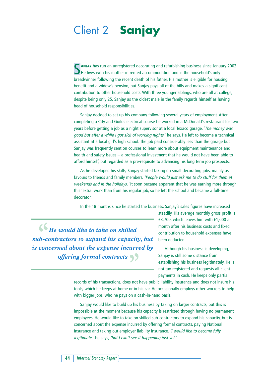# Client 2 **Sanjay**

S**ANJAY** has run an unregistered decorating and refurbishing business since January 2002. He lives with his mother in rented accommodation and is the household's only breadwinner following the recent death of his father. His mother is eligible for housing benefit and a widow's pension, but Sanjay pays all of the bills and makes a significant contribution to other household costs. With three younger siblings, who are all at college, despite being only 25, Sanjay as the oldest male in the family regards himself as having head of household responsibilities.

Sanjay decided to set up his company following several years of employment. After completing a City and Guilds electrical course he worked in a McDonald's restaurant for two years before getting a job as a night supervisor at a local Texaco garage. 'The money was good but after a while I got sick of working nights,' he says. He left to become a technical assistant at a local girl's high school. The job paid considerably less than the garage but Sanjay was frequently sent on courses to learn more about equipment maintenance and health and safety issues – a professional investment that he would not have been able to afford himself, but regarded as a pre-requisite to advancing his long term job prospects.

As he developed his skills, Sanjay started taking on small decorating jobs, mainly as favours to friends and family members. 'People would just ask me to do stuff for them at weekends and in the holidays.' It soon became apparent that he was earning more through this 'extra' work than from his regular job, so he left the school and became a full-time decorator.

In the 18 months since he started the business, Sanjay's sales figures have increased

 $\bigcup_{i=1}^{\infty}$  **He** would like to take on skilled *sub-contractors to expand his capacity, but is concerned about the expense incurred by offering formal contracts "*

steadily. His average monthly gross profit is £3,700, which leaves him with £1,000 a month after his business costs and fixed contribution to household expenses have been deducted.

Although his business is developing, Sanjay is still some distance from establishing his business legitimately. He is not tax-registered and requests all client payments in cash. He keeps only partial

records of his transactions, does not have public liability insurance and does not insure his tools, which he keeps at home or in his car. He occasionally employs other workers to help with bigger jobs, who he pays on a cash-in-hand basis.

Sanjay would like to build up his business by taking on larger contracts, but this is impossible at the moment because his capacity is restricted through having no permanent employees. He would like to take on skilled sub-contractors to expand his capacity, but is concerned about the expense incurred by offering formal contracts, paying National Insurance and taking out employer liability insurance. 'I would like to become fully legitimate, 'he says, 'but I can't see it happening just yet.'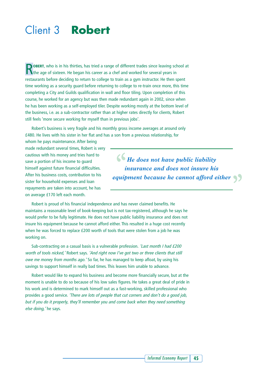# Client 3 **Robert**

**ROBERT**, who is in his thirties, has tried a range of different trades since leaving school at the age of sixteen. He began his career as a chef and worked for several years in restaurants before deciding to return to college to train as a gym instructor. He then spent time working as a security guard before returning to college to re-train once more, this time completing a City and Guilds qualification in wall and floor tiling. Upon completion of this course, he worked for an agency but was then made redundant again in 2002, since when he has been working as a self-employed tiler. Despite working mostly at the bottom level of the business, i.e. as a sub-contractor rather than at higher rates directly for clients, Robert still feels 'more secure working for myself than in previous jobs'.

Robert's business is very fragile and his monthly gross income averages at around only £480. He lives with his sister in her flat and has a son from a previous relationship, for

whom he pays maintenance. After being made redundant several times, Robert is very cautious with his money and tries hard to save a portion of his income to guard himself against future financial difficulties. After his business costs, contribution to his sister for household expenses and loan repayments are taken into account, he has on average £170 left each month.

 $\bigcup_{i=1}^{\infty} H_{i}$  *He does not have public liability insurance and does not insure his equipment because he cannot afford either "*

Robert is proud of his financial independence and has never claimed benefits. He maintains a reasonable level of book-keeping but is not tax-registered, although he says he would prefer to be fully legitimate. He does not have public liability insurance and does not insure his equipment because he cannot afford either. This resulted in a huge cost recently when he was forced to replace £200 worth of tools that were stolen from a job he was working on.

Sub-contracting on a casual basis is a vulnerable profession. 'Last month I had £200 worth of tools nicked,' Robert says. 'And right now I've got two or three clients that still owe me money from months ago.' So far, he has managed to keep afloat, by using his savings to support himself in really bad times. This leaves him unable to advance.

Robert would like to expand his business and become more financially secure, but at the moment is unable to do so because of his low sales figures. He takes a great deal of pride in his work and is determined to mark himself out as a fast-working, skilled professional who provides a good service. 'There are lots of people that cut corners and don't do a good job, but if you do it properly, they'll remember you and come back when they need something else doing,' he says.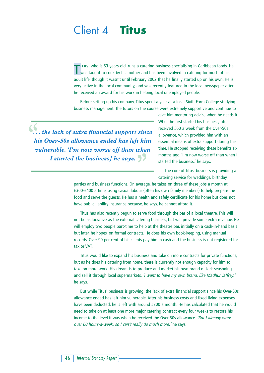## Client 4 **Titus**

TITUS, who is 53-years-old, runs a catering business specialising in Caribbean foods. When taught to cook by his mother and has been involved in catering for much of his **ITUS**, who is 53-years-old, runs a catering business specialising in Caribbean foods. He adult life, though it wasn't until February 2002 that he finally started up on his own. He is very active in the local community, and was recently featured in the local newspaper after he received an award for his work in helping local unemployed people.

Before setting up his company, Titus spent a year at a local Sixth Form College studying business management. The tutors on the course were extremely supportive and continue to

*. . . the lack of extra financial support since "his Over-50s allowance ended has left him vulnerable.'I'm now worse off than when I* started the business,' he says.

give him mentoring advice when he needs it. When he first started his business, Titus received £60 a week from the Over-50s allowance, which provided him with an essential means of extra support during this time. He stopped receiving these benefits six months ago. 'I'm now worse off than when I started the business,' he says.

The core of Titus' business is providing a catering service for weddings, birthday

parties and business functions. On average, he takes on three of these jobs a month at £300-£400 a time, using casual labour (often his own family members) to help prepare the food and serve the guests. He has a health and safely certificate for his home but does not have public liability insurance because, he says, he cannot afford it.

Titus has also recently begun to serve food through the bar of a local theatre. This will not be as lucrative as the external catering business, but will provide some extra revenue. He will employ two people part-time to help at the theatre bar, initially on a cash-in-hand basis but later, he hopes, on formal contracts. He does his own book-keeping, using manual records. Over 90 per cent of his clients pay him in cash and the business is not registered for tax or VAT.

Titus would like to expand his business and take on more contracts for private functions, but as he does his catering from home, there is currently not enough capacity for him to take on more work. His dream is to produce and market his own brand of Jerk seasoning and sell it through local supermarkets. 'I want to have my own brand, like Madhur Jaffrey,' he says.

But while Titus' business is growing, the lack of extra financial support since his Over-50s allowance ended has left him vulnerable. After his business costs and fixed living expenses have been deducted, he is left with around £200 a month. He has calculated that he would need to take on at least one more major catering contract every four weeks to restore his income to the level it was when he received the Over-50s allowance. 'But I already work over 60 hours-a-week, so I can't really do much more,' he says.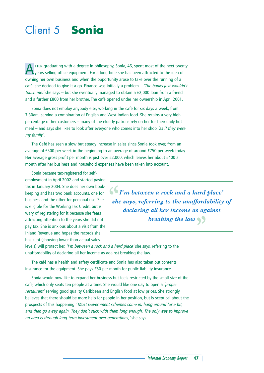# Client 5 **Sonia**

**A**FTER graduating with a degree in philosophy, Sonia, 46, spent most of the next twenty<br>years selling office equipment. For a long time she has been attracted to the idea of owning her own business and when the opportunity arose to take over the running of a café, she decided to give it a go. Finance was initially a problem  $-$  *The banks just wouldn't* touch me,' she says – but she eventually managed to obtain a £2,000 loan from a friend and a further £800 from her brother. The café opened under her ownership in April 2001.

Sonia does not employ anybody else, working in the café for six days a week, from 7.30am, serving a combination of English and West Indian food. She retains a very high percentage of her customers – many of the elderly patrons rely on her for their daily hot meal – and says she likes to look after everyone who comes into her shop 'as if they were my family'.

The Café has seen a slow but steady increase in sales since Sonia took over, from an average of £500 per week in the beginning to an average of around £750 per week today. Her average gross profit per month is just over £2,000, which leaves her about £400 a month after her business and household expenses have been taken into account.

Sonia became tax-registered for selfemployment in April 2002 and started paying tax in January 2004. She does her own bookkeeping and has two bank accounts, one for business and the other for personal use. She is eligible for the Working Tax Credit, but is wary of registering for it because she fears attracting attention to the years she did not pay tax. She is anxious about a visit from the Inland Revenue and hopes the records she has kept (showing lower than actual sales

*I'm between a rock and a hard place' "she says, referring to the unaffordability of declaring all her income as against* breaking the law  $\big\}$ 

levels) will protect her. 'I'm between a rock and a hard place' she says, referring to the unaffordability of declaring all her income as against breaking the law.

The café has a health and safety certificate and Sonia has also taken out contents insurance for the equipment. She pays £50 per month for public liability insurance.

Sonia would now like to expand her business but feels restricted by the small size of the cafe, which only seats ten people at a time. She would like one day to open a 'proper restaurant' serving good quality Caribbean and English food at low prices. She strongly believes that there should be more help for people in her position, but is sceptical about the prospects of this happening. 'Most Government schemes come in, hang around for a bit, and then go away again. They don't stick with them long enough. The only way to improve an area is through long-term investment over generations,' she says.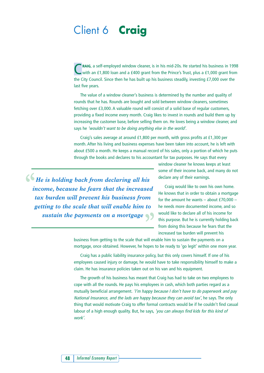# Client 6 **Craig**

**C**RAIG, a self-employed window cleaner, is in his mid-20s. He started his business in 1998<br>with an £1,800 loan and a £400 grant from the Prince's Trust, plus a £1,000 grant from the City Council. Since then he has built up his business steadily, investing £7,000 over the last five years.

The value of a window cleaner's business is determined by the number and quality of rounds that he has. Rounds are bought and sold between window cleaners, sometimes fetching over £3,000. A valuable round will consist of a solid base of regular customers, providing a fixed income every month. Craig likes to invest in rounds and build them up by increasing the customer base, before selling them on. He loves being a window cleaner, and says he 'wouldn't want to be doing anything else in the world'.

Craig's sales average at around £1,800 per month, with gross profits at £1,300 per month. After his living and business expenses have been taken into account, he is left with about £500 a month. He keeps a manual record of his sales, only a portion of which he puts through the books and declares to his accountant for tax purposes. He says that every

*He is holding back from declaring all his "income, because he fears that the increased tax burden will prevent his business from getting to the scale that will enable him to sustain the payments on a mortgage "* window cleaner he knows keeps at least some of their income back, and many do not declare any of their earnings.

Craig would like to own his own home. He knows that in order to obtain a mortgage for the amount he wants  $-$  about £70,000  $$ he needs more documented income, and so would like to declare all of his income for this purpose. But he is currently holding back from doing this because he fears that the increased tax burden will prevent his

business from getting to the scale that will enable him to sustain the payments on a mortgage, once obtained. However, he hopes to be ready to 'go legit' within one more year.

Craig has a public liability insurance policy, but this only covers himself. If one of his employees caused injury or damage, he would have to take responsibility himself to make a claim. He has insurance policies taken out on his van and his equipment.

The growth of his business has meant that Craig has had to take on two employees to cope with all the rounds. He pays his employees in cash, which both parties regard as a mutually beneficial arrangement. 'I'm happy because I don't have to do paperwork and pay National Insurance, and the lads are happy because they can avoid tax', he says. The only thing that would motivate Craig to offer formal contracts would be if he couldn't find casual labour of a high enough quality. But, he says, 'you can always find kids for this kind of work'.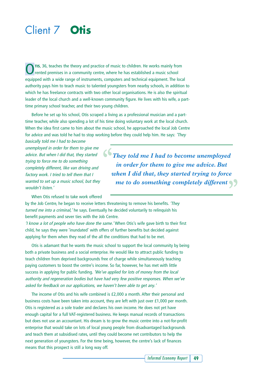# Client 7 **Otis**

TIS, 36, teaches the theory and practice of music to children. He works mainly from rented premises in a community centre, where he has established a music school equipped with a wide range of instruments, computers and technical equipment. The local authority pays him to teach music to talented youngsters from nearby schools, in addition to which he has freelance contracts with two other local organisations. He is also the spiritual leader of the local church and a well-known community figure. He lives with his wife, a parttime primary school teacher, and their two young children.

Before he set up his school, Otis scraped a living as a professional musician and a parttime teacher, while also spending a lot of his time doing voluntary work at the local church. When the idea first came to him about the music school, he approached the local Job Centre for advice and was told he had to stop working before they could help him. He says: 'They

basically told me I had to become unemployed in order for them to give me advice. But when I did that, they started trying to force me to do something completely different, like van driving and factory work. I tried to tell them that I wanted to set up a music school, but they wouldn't listen.'

*They told me I had to become unemployed "in order for them to give me advice. But when I did that, they started trying to force me to do something completely different "*

When Otis refused to take work offered

by the Job Centre, he began to receive letters threatening to remove his benefits. 'They turned me into a criminal,' he says. Eventually he decided voluntarily to relinquish his benefit payments and sever ties with the Job Centre.

'I know a lot of people who have done the same.' When Otis's wife gave birth to their first child, he says they were 'inundated' with offers of further benefits but decided against applying for them when they read of the all the conditions that had to be met.

Otis is adamant that he wants the music school to support the local community by being both a private business and a social enterprise. He would like to attract public funding to teach children from deprived backgrounds free of charge while simultaneously teaching paying customers to boost the centre's income. So far, however, he has met with little success in applying for public funding. 'We've applied for lots of money from the local authority and regeneration bodies but have had very few positive responses. When we've asked for feedback on our applications, we haven't been able to get any.'

The income of Otis and his wife combined is £2,000 a month. After their personal and business costs have been taken into account, they are left with just over £1,000 per month. Otis is registered as a sole trader and declares his own income. He does not yet have enough capital for a full VAT-registered business. He keeps manual records of transactions but does not use an accountant. His dream is to grow the music centre into a not-for-profit enterprise that would take on lots of local young people from disadvantaged backgrounds and teach them at subsidised rates, until they could become net contributors to help the next generation of youngsters. For the time being, however, the centre's lack of finances means that this prospect is still a long way off.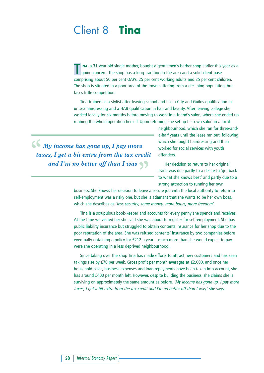# Client 8 **Tina**

**TINA**, a 31-year-old single mother, bought a gentlemen's barber shop earlier this year as a going concern. The shop has a long tradition in the area and a solid client base, comprising about 50 per cent OAPs, 25 per cent working adults and 25 per cent children. The shop is situated in a poor area of the town suffering from a declining population, but faces little competition.

Tina trained as a stylist after leaving school and has a City and Guilds qualification in unisex hairdressing and a HAB qualification in hair and beauty. After leaving college she worked locally for six months before moving to work in a friend's salon, where she ended up running the whole operation herself. Upon returning she set up her own salon in a local

 $\bigcup_{i=1}^{\infty} M_i$  *My income has gone up, I pay more taxes, I get a bit extra from the tax credit* and I'm no better off than I was  $\big\}$ 

neighbourhood, which she ran for three-anda-half years until the lease ran out, following which she taught hairdressing and then worked for social services with youth offenders.

Her decision to return to her original trade was due partly to a desire to 'get back to what she knows best' and partly due to a strong attraction to running her own

business. She knows her decision to leave a secure job with the local authority to return to self-employment was a risky one, but she is adamant that she wants to be her own boss, which she describes as 'less security, same money, more hours, more freedom'.

Tina is a scrupulous book-keeper and accounts for every penny she spends and receives. At the time we visited her she said she was about to register for self-employment. She has public liability insurance but struggled to obtain contents insurance for her shop due to the poor reputation of the area. She was refused contents' insurance by two companies before eventually obtaining a policy for £212 a year – much more than she would expect to pay were she operating in a less deprived neighbourhood.

Since taking over the shop Tina has made efforts to attract new customers and has seen takings rise by £70 per week. Gross profit per month averages at £2,000, and once her household costs, business expenses and loan repayments have been taken into account, she has around £400 per month left. However, despite building the business, she claims she is surviving on approximately the same amount as before. 'My income has gone up, I pay more taxes, I get a bit extra from the tax credit and I'm no better off than I was,' she says.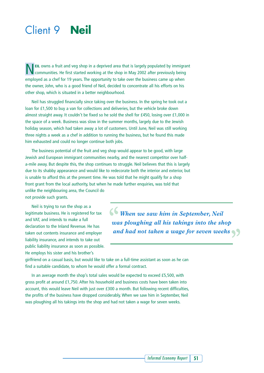# Client 9 **Neil**

**NEIL** owns a fruit and veg shop in a deprived area that is largely populated by immigrant communities. He first started working at the shop in May 2002 after previously being employed as a chef for 19 years. The opportunity to take over the business came up when the owner, John, who is a good friend of Neil, decided to concentrate all his efforts on his other shop, which is situated in a better neighbourhood.

Neil has struggled financially since taking over the business. In the spring he took out a loan for £1,500 to buy a van for collections and deliveries, but the vehicle broke down almost straight away. It couldn't be fixed so he sold the shell for £450, losing over £1,000 in the space of a week. Business was slow in the summer months, largely due to the Jewish holiday season, which had taken away a lot of customers. Until June, Neil was still working three nights a week as a chef in addition to running the business, but he found this made him exhausted and could no longer continue both jobs.

The business potential of the fruit and veg shop would appear to be good, with large Jewish and European immigrant communities nearby, and the nearest competitor over halfa-mile away. But despite this, the shop continues to struggle. Neil believes that this is largely due to its shabby appearance and would like to redecorate both the interior and exterior, but is unable to afford this at the present time. He was told that he might qualify for a shop front grant from the local authority, but when he made further enquiries, was told that unlike the neighbouring area, the Council do

not provide such grants.

Neil is trying to run the shop as a legitimate business. He is registered for tax and VAT, and intends to make a full declaration to the Inland Revenue. He has taken out contents insurance and employer liability insurance, and intends to take out public liability insurance as soon as possible. He employs his sister and his brother's

 $\bigcup_{i=1}^{\infty}$  When we saw him in September, Neil *was ploughing all his takings into the shop* and had not taken a wage for seven weeks

girlfriend on a casual basis, but would like to take on a full-time assistant as soon as he can find a suitable candidate, to whom he would offer a formal contract.

In an average month the shop's total sales would be expected to exceed £5,500, with gross profit at around £1,750. After his household and business costs have been taken into account, this would leave Neil with just over £300 a month. But following recent difficulties, the profits of the business have dropped considerably. When we saw him in September, Neil was ploughing all his takings into the shop and had not taken a wage for seven weeks.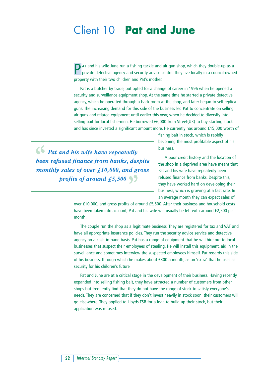## Client 10 **Pat and June**

**P** AT and his wife June run a fishing tackle and air gun shop, which they double-up as a private detective agency and security advice centre. They live locally in a council-owned property with their two children and Pat's mother.

Pat is a butcher by trade, but opted for a change of career in 1996 when he opened a security and surveillance equipment shop. At the same time he started a private detective agency, which he operated through a back room at the shop, and later began to sell replica guns. The increasing demand for this side of the business led Pat to concentrate on selling air guns and related equipment until earlier this year, when he decided to diversify into selling bait for local fishermen. He borrowed £6,000 from Street(UK) to buy starting stock and has since invested a significant amount more. He currently has around £15,000 worth of

*Pat and his wife have repeatedly "been refused finance from banks, despite monthly sales of over £10,000, and gross profits of around £5,500* $\left\{ \right\}$ 

fishing bait in stock, which is rapidly becoming the most profitable aspect of his business.

A poor credit history and the location of the shop in a deprived area have meant that Pat and his wife have repeatedly been refused finance from banks. Despite this, they have worked hard on developing their business, which is growing at a fast rate. In an average month they can expect sales of

over £10,000, and gross profits of around £5,500. After their business and household costs have been taken into account, Pat and his wife will usually be left with around £2,500 per month.

The couple run the shop as a legitimate business. They are registered for tax and VAT and have all appropriate insurance policies. They run the security advice service and detective agency on a cash-in-hand basis. Pat has a range of equipment that he will hire out to local businesses that suspect their employees of stealing. He will install this equipment, aid in the surveillance and sometimes interview the suspected employees himself. Pat regards this side of his business, through which he makes about £300 a month, as an 'extra' that he uses as security for his children's future.

Pat and June are at a critical stage in the development of their business. Having recently expanded into selling fishing bait, they have attracted a number of customers from other shops but frequently find that they do not have the range of stock to satisfy everyone's needs. They are concerned that if they don't invest heavily in stock soon, their customers will go elsewhere. They applied to Lloyds TSB for a loan to build up their stock, but their application was refused.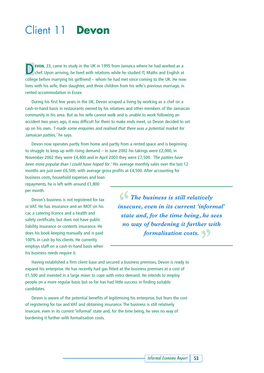# Client 11 **Devon**

**D**EVON, 33, came to study in the UK in 1995 from Jamaica where he had worked as a chef. Upon arriving, he lived with relations while he studied IT, Maths and English at college before marrying his girlfriend – whom he had met since coming to the UK. He now lives with his wife, their daughter, and three children from his wife's previous marriage, in rented accommodation in Essex.

During his first few years in the UK, Devon scraped a living by working as a chef on a cash-in-hand basis in restaurants owned by his relatives and other members of the Jamaican community in his area. But as his wife cannot walk and is unable to work following an accident two years ago, it was difficult for them to make ends meet, so Devon decided to set up on his own. 'I made some enquiries and realised that there was a potential market for Jamaican patties, 'he says.

Devon now operates partly from home and partly from a rented space and is beginning to struggle to keep up with rising demand – in June 2002 his takings were £2,000, in November 2002 they were £4,400 and in April 2003 they were £7,500. 'The patties have been more popular than I could have hoped for.' His average monthly sales over the last 12 months are just over £6,500, with average gross profits at £4,500. After accounting for

business costs, household expenses and loan repayments, he is left with around £1,800 per month.

Devon's business is not registered for tax or VAT. He has insurance and an MOT on his car, a catering licence and a health and safety certificate, but does not have public liability insurance or contents insurance. He does his book-keeping manually and is paid 100% in cash by his clients. He currently employs staff on a cash-in-hand basis when his business needs require it.

 $\bigcup$  **The business is still relatively** *insecure, even in its current 'informal' state and, for the time being, he sees no way of burdening it further with formalisation costs. "*

Having established a firm client base and secured a business premises, Devon is ready to expand his enterprise. He has recently had gas fitted at the business premises at a cost of £1,500 and invested in a large mixer to cope with extra demand. He intends to employ people on a more regular basis but so far has had little success in finding suitable candidates.

Devon is aware of the potential benefits of legitimising his enterprise, but fears the cost of registering for tax and VAT and obtaining insurance. The business is still relatively insecure, even in its current 'informal' state and, for the time being, he sees no way of burdening it further with formalisation costs.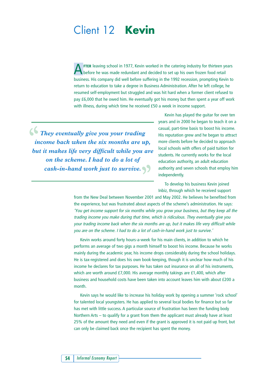## Client 12 **Kevin**

**FTER** leaving school in 1977, Kevin worked in the catering industry for thirteen years before he was made redundant and decided to set up his own frozen food retail business. His company did well before suffering in the 1992 recession, prompting Kevin to return to education to take a degree in Business Administration. After he left college, he resumed self-employment but struggled and was hit hard when a former client refused to pay £6,000 that he owed him. He eventually got his money but then spent a year off work with illness, during which time he received £50 a week in income support.

 $\left\{\right\}$  They eventually give you your trading *income back when the six months are up, but it makes life very difficult while you are on the scheme. I had to do a lot of cash-in-hand work just to survive. "*

Kevin has played the guitar for over ten years and in 2000 he began to teach it on a casual, part-time basis to boost his income. His reputation grew and he began to attract more clients before he decided to approach local schools with offers of paid tuition for students. He currently works for the local education authority, an adult education authority and seven schools that employ him independently.

To develop his business Kevin joined Inbiz, through which he received support

from the New Deal between November 2001 and May 2002. He believes he benefited from the experience, but was frustrated about aspects of the scheme's administration. He says: 'You get income support for six months while you grow your business, but they keep all the trading income you make during that time, which is ridiculous. They eventually give you your trading income back when the six months are up, but it makes life very difficult while you are on the scheme. I had to do a lot of cash-in-hand work just to survive.'

Kevin works around forty hours-a-week for his main clients, in addition to which he performs an average of two gigs a month himself to boost his income. Because he works mainly during the academic year, his income drops considerably during the school holidays. He is tax-registered and does his own book-keeping, though it is unclear how much of his income he declares for tax purposes. He has taken out insurance on all of his instruments, which are worth around £7,000. His average monthly takings are £1,400, which after business and household costs have been taken into account leaves him with about £200 a month.

Kevin says he would like to increase his holiday work by opening a summer 'rock school' for talented local youngsters. He has applied to several local bodies for finance but so far has met with little success. A particular source of frustration has been the funding body Northern Arts – to qualify for a grant from them the applicant must already have at least 25% of the amount they need and even if the grant is approved it is not paid up front, but can only be claimed back once the recipient has spent the money.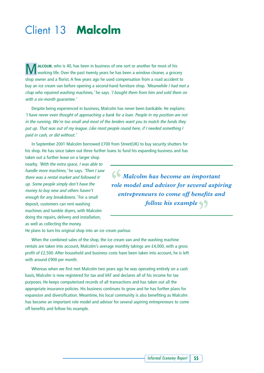# Client 13 **Malcolm**

**MALCOLM**, who is 40, has been in business of one sort or another for most of his working life. Over the past twenty years he has been a window cleaner, a grocery shop owner and a florist. A few years ago he used compensation from a road accident to buy an ice cream van before opening a second-hand furniture shop. 'Meanwhile I had met a chap who repaired washing machines,' he says. 'I bought them from him and sold them on with a six-month quarantee.'

Despite being experienced in business, Malcolm has never been bankable. He explains: 'I have never even thought of approaching a bank for a loan. People in my position are not in the running. We're too small and most of the lenders want you to match the funds they put up. That was out of my league. Like most people round here, if I needed something I paid in cash, or did without.'

In September 2001 Malcolm borrowed £700 from Street(UK) to buy security shutters for his shop. He has since taken out three further loans to fund his expanding business and has

taken out a further lease on a larger shop nearby. 'With the extra space, I was able to handle more machines,' he says. 'Then I saw there was a rental market and followed it up. Some people simply don't have the money to buy new and others haven't enough for any breakdowns.' For a small deposit, customers can rent washing machines and tumble dryers, with Malcolm doing the repairs, delivery and installation, as well as collecting the money.

 $\bigcup_{i=1}^{\infty} M_{\text{al}}$  *Malcolm has become an important role model and advisor for several aspiring entrepreneurs to come off benefits and follow his example "*

He plans to turn his original shop into an ice cream parlour.

When the combined sales of the shop, the ice cream van and the washing machine rentals are taken into account, Malcolm's average monthly takings are £4,000, with a gross profit of £2,500. After household and business costs have been taken into account, he is left with around £900 per month.

Whereas when we first met Malcolm two years ago he was operating entirely on a cash basis, Malcolm is now registered for tax and VAT and declares all of his income for tax purposes. He keeps computerised records of all transactions and has taken out all the appropriate insurance policies. His business continues to grow and he has further plans for expansion and diversification. Meantime, his local community is also benefiting as Malcolm has become an important role model and advisor for several aspiring entrepreneurs to come off benefits and follow his example.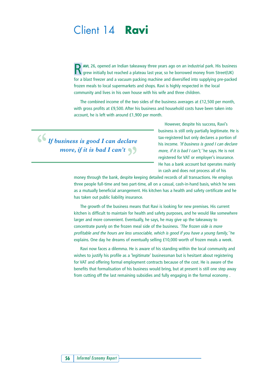## Client 14 **Ravi**

**N** AVI, 26, opened an Indian takeaway three years ago on an industrial park. His business grew initially but reached a plateau last year, so he borrowed money from Street(UK) for a blast freezer and a vacuum packing machine and diversified into supplying pre-packed frozen meals to local supermarkets and shops. Ravi is highly respected in the local community and lives in his own house with his wife and three children.

The combined income of the two sides of the business averages at £12,500 per month, with gross profits at £9,500. After his business and household costs have been taken into account, he is left with around £1,900 per month.

*If business is good I can declare more, if it is bad I can't* 

However, despite his success, Ravi's business is still only partially legitimate. He is tax-registered but only declares a portion of his income. 'If business is good I can declare more, if it is bad I can't, 'he says. He is not registered for VAT or employer's insurance. He has a bank account but operates mainly in cash and does not process all of his

money through the bank, despite keeping detailed records of all transactions. He employs three people full-time and two part-time, all on a casual, cash-in-hand basis, which he sees as a mutually beneficial arrangement. His kitchen has a health and safety certificate and he has taken out public liability insurance.

The growth of the business means that Ravi is looking for new premises. His current kitchen is difficult to maintain for health and safety purposes, and he would like somewhere larger and more convenient. Eventually, he says, he may give up the takeaway to concentrate purely on the frozen meal side of the business. 'The frozen side is more profitable and the hours are less unsociable, which is good if you have a young family,' he explains. One day he dreams of eventually selling £10,000 worth of frozen meals a week.

Ravi now faces a dilemma. He is aware of his standing within the local community and wishes to justify his profile as a 'legitimate' businessman but is hesitant about registering for VAT and offering formal employment contracts because of the cost. He is aware of the benefits that formalisation of his business would bring, but at present is still one step away from cutting off the last remaining subsidies and fully engaging in the formal economy .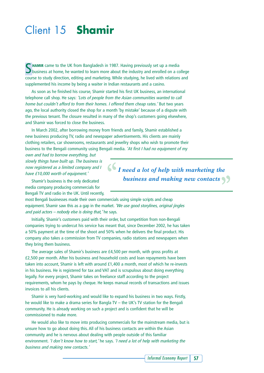# Client 15 **Shamir**

**S** HAMIR came to the UK from Bangladesh in 1987. Having previously set up a media<br>business at home, he wanted to learn more about the industry and enrolled on a college course to study direction, editing and marketing. While studying, he lived with relations and supplemented his income by being a waiter in Indian restaurants and a casino.

As soon as he finished his course, Shamir started his first UK business, an international telephone call shop. He says: 'Lots of people from the Asian communities wanted to call home but couldn't afford to from their homes. I offered them cheap rates.' But two years ago, the local authority closed the shop for a month 'by mistake' because of a dispute with the previous tenant. The closure resulted in many of the shop's customers going elsewhere, and Shamir was forced to close the business.

In March 2002, after borrowing money from friends and family, Shamir established a new business producing TV, radio and newspaper advertisements. His clients are mainly clothing retailers, car showrooms, restaurants and jewellry shops who wish to promote their business to the Bengali community using Bengali media. 'At first I had no equipment of my

own and had to borrow everything, but slowly things have built up. The business is now registered as a limited company and I have £10,000 worth of equipment.'

Shamir's business is the only dedicated media company producing commercials for Bengali TV and radio in the UK. Until recently,

most Bengali businesses made their own commercials using simple scripts and cheap equipment. Shamir saw this as a gap in the market. 'We use good storylines, original jingles and paid  $actors - nobody$  else is doing that, 'he says.

Initially, Shamir's customers paid with their order, but competition from non-Bengali companies trying to undercut his service has meant that, since December 2002, he has taken a 50% payment at the time of the shoot and 50% when he delivers the final product. His company also takes a commission from TV companies, radio stations and newspapers when they bring them business.

The average sales of Shamir's business are £4,500 per month, with gross profits at £2,500 per month. After his business and household costs and loan repayments have been taken into account, Shamir is left with around £1,400 a month, most of which he re-invests in his business. He is registered for tax and VAT and is scrupulous about doing everything legally. For every project, Shamir takes on freelance staff according to the project requirements, whom he pays by cheque. He keeps manual records of transactions and issues invoices to all his clients.

Shamir is very hard-working and would like to expand his business in two ways. Firstly, he would like to make a drama series for Bangla TV – the UK's TV station for the Bengali community. He is already working on such a project and is confident that he will be commissioned to make more.

He would also like to move into producing commercials for the mainstream media, but is unsure how to go about doing this. All of his business contacts are within the Asian community and he is nervous about dealing with people outside of this familiar environment. 'I don't know how to start, 'he says. 'I need a lot of help with marketing the business and making new contacts.'

*I need a lot of help with marketing the "business and making new contacts "*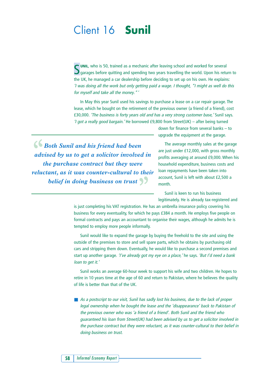## Client 16 **Sunil**

S UNIL, who is 50, trained as a mechanic after leaving school and worked for several S garages before quitting and spending two years travelling the world. Upon his retu  $\bullet$  garages before quitting and spending two years travelling the world. Upon his return to the UK, he managed a car dealership before deciding to set up on his own. He explains: 'I was doing all the work but only getting paid a wage. I thought, "I might as well do this for myself and take all the money."'

In May this year Sunil used his savings to purchase a lease on a car repair garage. The lease, which he bought on the retirement of the previous owner (a friend of a friend), cost £30,000. 'The business is forty years old and has a very strong customer base,' Sunil says. 'I got a really good bargain.' He borrowed £9,800 from Street(UK) – after being turned

*Both Sunil and his friend had been advised by us to get a solicitor involved in the purchase contract but they were reluctant, as it was counter-cultural to their belief in doing business on trust "*

down for finance from several banks – to upgrade the equipment at the garage.

The average monthly sales at the garage are just under £12,000, with gross monthly profits averaging at around £9,000. When his household expenditure, business costs and loan repayments have been taken into account, Sunil is left with about £2,500 a month.

Sunil is keen to run his business legitimately. He is already tax-registered and

is just completing his VAT registration. He has an umbrella insurance policy covering his business for every eventuality, for which he pays £384 a month. He employs five people on formal contracts and pays an accountant to organise their wages, although he admits he is tempted to employ more people informally.

Sunil would like to expand the garage by buying the freehold to the site and using the outside of the premises to store and sell spare parts, which he obtains by purchasing old cars and stripping them down. Eventually, he would like to purchase a second premises and start up another garage. 'I've already got my eye on a place,' he says. 'But I'd need a bank loan to get it.'

Sunil works an average 60-hour week to support his wife and two children. He hopes to retire in 10 years time at the age of 60 and return to Pakistan, where he believes the quality of life is better than that of the UK.

■ As a postscript to our visit, Sunil has sadly lost his business, due to the lack of proper legal ownership when he bought the lease and the 'disappearance' back to Pakistan of the previous owner who was 'a friend of a friend'. Both Sunil and the friend who guaranteed his loan from Street(UK) had been advised by us to get a solicitor involved in the purchase contract but they were reluctant, as it was counter-cultural to their belief in doing business on trust.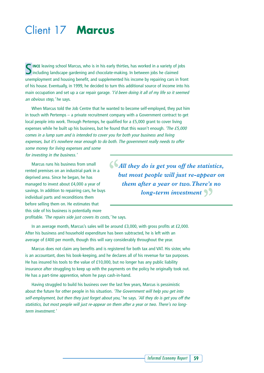# Client 17 **Marcus**

**NINCE** leaving school Marcus, who is in his early thirties, has worked in a variety of jobs  $\bullet$  including landscape gardening and chocolate-making. In between jobs he claimed unemployment and housing benefit, and supplemented his income by repairing cars in front of his house. Eventually, in 1999, he decided to turn this additional source of income into his main occupation and set up a car repair garage. 'I'd been doing it all of my life so it seemed an obvious step, 'he says.

When Marcus told the Job Centre that he wanted to become self-employed, they put him in touch with Pertemps – a private recruitment company with a Government contract to get local people into work. Through Pertemps, he qualified for a £5,000 grant to cover living expenses while he built up his business, but he found that this wasn't enough. 'The £5,000 comes in a lump sum and is intended to cover you for both your business and living expenses, but it's nowhere near enough to do both. The government really needs to offer some money for living expenses and some

for investing in the business.'

Marcus runs his business from small rented premises on an industrial park in a deprived area. Since he began, he has managed to invest about £4,000 a year of savings. In addition to repairing cars, he buys individual parts and reconditions them before selling them on. He estimates that this side of his business is potentially more

*All they do is get you off the statistics, "but most people will just re-appear on them after a year or two.There's no long-term investment "*

profitable. 'The repairs side just covers its costs, 'he says.

In an average month, Marcus's sales will be around £3,000, with gross profits at £2,000. After his business and household expenditure has been subtracted, he is left with an average of £400 per month, though this will vary considerably throughout the year.

Marcus does not claim any benefits and is registered for both tax and VAT. His sister, who is an accountant, does his book-keeping, and he declares all of his revenue for tax purposes. He has insured his tools to the value of £10,000, but no longer has any public liability insurance after struggling to keep up with the payments on the policy he originally took out. He has a part-time apprentice, whom he pays cash-in-hand.

Having struggled to build his business over the last few years, Marcus is pessimistic about the future for other people in his situation. 'The Government will help you get into self-employment, but then they just forget about you,' he says. 'All they do is get you off the statistics, but most people will just re-appear on them after a year or two. There's no longterm investment.'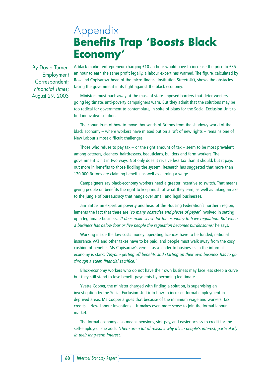## Appendix **Benefits Trap 'Boosts Black Economy'**

By David Turner, Employment Correspondent; *Financial Times*; August 29, 2003 A black market entrepreneur charging £10 an hour would have to increase the price to £35 an hour to earn the same profit legally, a labour expert has warned. The figure, calculated by Rosalind Copisarow, head of the micro-finance institution Street(UK), shows the obstacles facing the government in its fight against the black economy.

Ministers must hack away at the mass of state-imposed barriers that deter workers going legitimate, anti-poverty campaigners warn. But they admit that the solutions may be too radical for government to contemplate, in spite of plans for the Social Exclusion Unit to find innovative solutions.

The conundrum of how to move thousands of Britons from the shadowy world of the black economy – where workers have missed out on a raft of new rights – remains one of New Labour's most difficult challenges.

Those who refuse to pay tax  $-$  or the right amount of tax  $-$  seem to be most prevalent among caterers, cleaners, hairdressers, beauticians, builders and farm workers. The government is hit in two ways. Not only does it receive less tax than it should, but it pays out more in benefits to those fiddling the system. Research has suggested that more than 120,000 Britons are claiming benefits as well as earning a wage.

Campaigners say black-economy workers need a greater incentive to switch. That means giving people on benefits the right to keep much of what they earn, as well as taking an axe to the jungle of bureaucracy that hangs over small and legal businesses.

Jim Battle, an expert on poverty and head of the Housing Federation's northern region, laments the fact that there are 'so many obstacles and pieces of paper' involved in setting up a legitimate business. 'It does make sense for the economy to have regulation. But when a business has below four or five people the regulation becomes burdensome,' he says.

Working inside the law costs money: operating licences have to be funded, national insurance, VAT and other taxes have to be paid, and people must walk away from the cosy cushion of benefits. Ms Copisarow's verdict as a lender to businesses in the informal economy is stark: 'Anyone getting off benefits and starting up their own business has to go through a steep financial sacrifice.'

Black-economy workers who do not have their own business may face less steep a curve, but they still stand to lose benefit payments by becoming legitimate.

Yvette Cooper, the minister charged with finding a solution, is supervising an investigation by the Social Exclusion Unit into how to increase formal employment in deprived areas. Ms Cooper argues that because of the minimum wage and workers' tax credits – New Labour inventions – it makes even more sense to join the formal labour market.

The formal economy also means pensions, sick pay, and easier access to credit for the self-employed, she adds. 'There are a lot of reasons why it's in people's interest, particularly in their long-term interest.'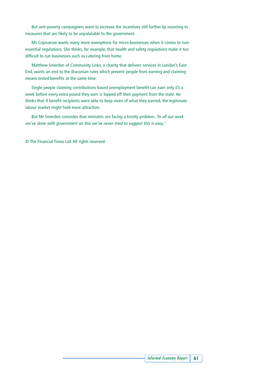But anti-poverty campaigners want to increase the incentives still further by resorting to measures that are likely to be unpalatable to the government.

Ms Copisarow wants many more exemptions for micro-businesses when it comes to nonessential regulations. She thinks, for example, that health and safety regulations make it too difficult to run businesses such as catering from home.

Matthew Smerdon of Community Links, a charity that delivers services in London's East End, wants an end to the draconian rules which prevent people from earning and claiming means-tested benefits at the same time.

Single people claiming contributions-based unemployment benefit can earn only £5 a week before every extra pound they earn is lopped off their payment from the state. He thinks that if benefit recipients were able to keep more of what they earned, the legitimate labour market might hold more attraction.

But Mr Smerdon concedes that ministers are facing a knotty problem. 'In all our work we've done with government on this we've never tried to suggest this is easy.'

© The Financial Times Ltd. All rights reserved.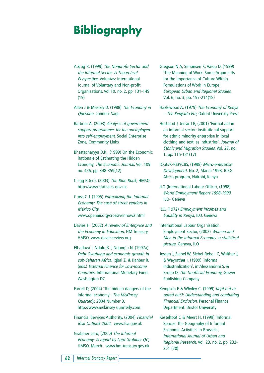# **Bibliography**

- Abzug R, (1999) The Nonprofit Sector and the Informal Sector: A Theoretical Perspective, Voluntas: International Journal of Voluntary and Non-profit Organisations, Vol.10, no. 2, pp. 131-149 (19)
- Allen J & Massey D, (1988) The Economy in Question, London: Sage
- Barbour A, (2003) Analysis of government support programmes for the unemployed into self-employment, Social Enterprise Zone, Community Links
- Bhattacharyya D.K., (1999) On the Economic Rationale of Estimating the Hidden Economy, The Economic Journal, Vol. 109, no. 456, pp. 348-359(12)
- Clegg R (ed), (2003) The Blue Book, HMSO. http://www.statistics.gov.uk
- Cross C J, (1995) Formalizing the Informal Economy: The case of street vendors in Mexico City. www.openair.org/cross/vennow2.html
- Davies H, (2002) A review of Enterprise and the Economy in Education, HM Treasury, HMSO, www.daviesreview.org
- Elbadawi I, Ndulu B J, Ndung'u N, (1997a) Debt Overhang and economic growth in sub-Saharan Africa, Iqbal Z, & Kanbur R, (eds.) External Finance for Low-Income Countries, International Monetary Fund, Washington DC
- Farrell D, (2004) 'The hidden dangers of the informal economy', The McKinsey Quarterly, 2004 Number 3, http://www.mckinsey quarterly.com
- Financial Services Authority, (2004) Financial Risk Outlook 2004. www.fsa.gov.uk
- Grabiner Lord, (2000) The Informal Economy: A report by Lord Grabiner QC, HMSO, March. www.hm-treasury.gov.uk
- Gregson N A, Simonsen K, Vaiou D, (1999) 'The Meaning of Work: Some Arguments for the Importance of Culture Within Formulations of Work in Europe', European Urban and Regional Studies, Vol. 6, no. 3, pp. 197-214(18)
- Hazlewood A, (1979) The Economy of Kenya – The Kenyatta Era, Oxford University Press
- Husband J, Jerrard B, (2001) 'Formal aid in an informal sector: institutional support for ethnic minority enterprise in local clothing and textiles industries', Journal of Ethnic and Migration Studies, Vol. 27, no. 1, pp. 115-131(17)
- ICGE/K-REP/CBS, (1998) Micro-enterprise Development, No. 2, March 1998, ICEG Africa program, Nairobi, Kenya
- ILO (International Labour Office), (1998) World Employment Report 1998-1999, ILO- Geneva
- ILO, (1972) Employment Incomes and Equality in Kenya, ILO, Geneva
- International Labour Organisation Employment Sector, (2002) Women and Men in the Informal Economy: a statistical picture, Geneva, ILO
- Jessen J, Siebel W, Siebel-Rebell C, Walther J, & Weyrather I, (1989) 'Informal Industrialization', in Alessandrini S, & Bruno D, The Unofficial Economy, Gower Publishing Company
- Kempson E & Whyley C, (1999) Kept out or opted out?: Understanding and combating Financial Exclusion, Personal Finance Department, Bristol University
- Kesteltoot C & Meert H, (1999) 'Informal Spaces: The Geography of Informal Economic Activities in Brussels', International Journal of Urban and Regional Research, Vol. 23, no. 2, pp. 232- 251 (20)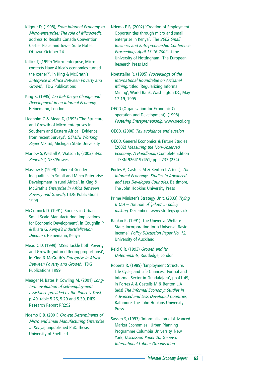Kilgour D, (1998), From Informal Economy to Micro-enterprise: The role of Microcredit, address to Results Canada Convention. Cartier Place and Tower Suite Hotel, Ottawa. October 24

Killick T, (1999) 'Micro-enterprise, Microcontexts Have Africa's economies turned the corner?', in King & McGrath's Enterprise in Africa Between Poverty and Growth, ITDG Publications

King K, (1995) Jua Kali Kenya Change and Development in an Informal Economy, Heinemann, London

Liedholm C & Mead D, (1993) 'The Structure and Growth of Micro-enterprises in Southern and Eastern Africa: Evidence from recent Surveys', GEMINI Working Paper No. 36, Michigan State University

Marlow S, Westall A, Watson E, (2003) Who Benefits?, NEF/Prowess

Massow F, (1999) 'Inherent Gender Inequalities in Small and Micro Enterprise Development in rural Africa', in King & McGrath's Enterprise in Africa Between Poverty and Growth, ITDG Publications 1999

McCormick D, (1991) 'Success in Urban Small-Scale Manufacturing: Implications for Economic Development', in Coughlin P & Ikiara G, Kenya's Industrialization Dilemma, Heinemann, Kenya

Mead C D, (1999) 'MSEs Tackle both Poverty and Growth (but in differing proportions)', in King & McGrath's Enterprise in Africa: Between Poverty and Growth, ITDG Publications 1999

Meager N, Bates P, Cowling M, (2001) Longterm evaluation of self-employment assistance provided by the Prince's Trust, p. 49, table 5.26, 5.29 and 5.30, DfES Research Report RR292

Ndemo E B, (2001) Growth Determinants of Micro and Small Manufacturing Enterprise in Kenya, unpublished PhD. Thesis, University of Sheffield

Ndemo E B, (2002) 'Creation of Employment Opportunities through micro and small enterprise in Kenya'. The 2002 Small Business and Entrepreneurship Conference Proceedings April 15-16 2002 at the University of Nottingham. The European Research Press Ltd

Noetstaller R, (1995) Proceedings of the International Roundtable on Artisanal Mining, titled 'Regularizing Informal Mining', World Bank, Washington DC, May 17-19, 1995

OECD (Organisation for Economic Cooperation and Development), (1998) Fostering Entrepreneurship, www.oecd.org

OECD, (2000) Tax avoidance and evasion

OECD, General Economics & Future Studies (2002) Measuring the Non-Observed Economy: A Handbook, (Complete Edition – ISBN 9264197451) pp. I-233 (234)

Portes A, Castells M & Benton L A (eds), The Informal Economy: Studies in Advanced and Less Developed Countries, Baltimore, The John Hopkins University Press

Prime Minister's Strategy Unit, (2003) Trying It Out – The role of 'pilots' in policy making, December. www.strategy.gov.uk

Rankin K, (1991) 'The Universal Welfare State, incorporating for a Universal Basic Income', Policy Discussion Paper No. 12, University of Auckland

Reid C R, (1993) Growth and its Determinants, Routledge, London

Roberts R, (1989) 'Employment Structure, Life Cycle, and Life Chances: Formal and Informal Sector in Guadalajara', pp 41-49, in Portes A & Castells M & Benton L A (eds) The Informal Economy: Studies in Advanced and Less Developed Countries, Baltimore: The John Hopkins University Press

Sassen S, (1997) 'Informalisaion of Advanced Market Economies', Urban Planning Programme Columbia University, New York, Discussion Paper 20, Geneva: International Labour Organisation